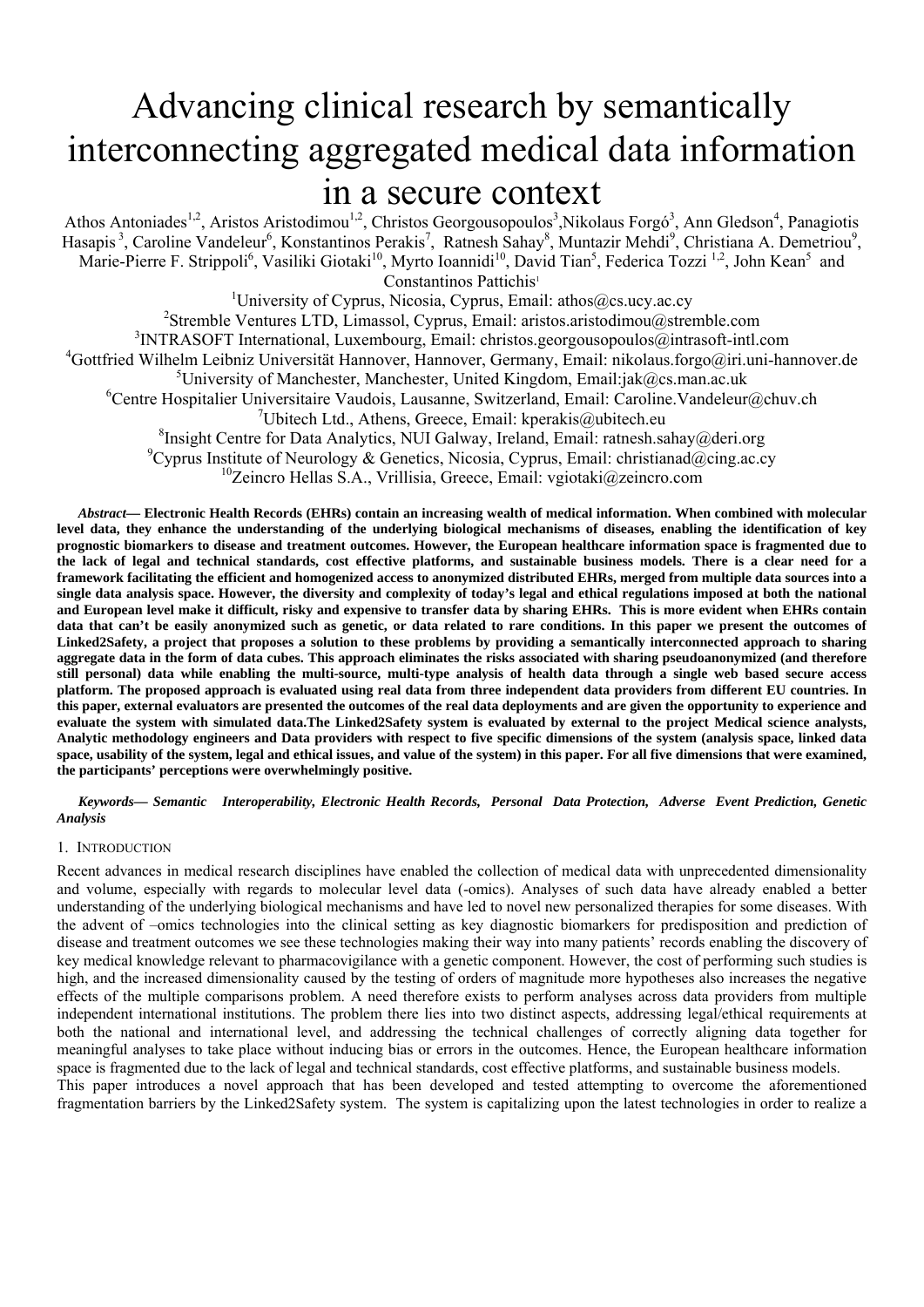# Advancing clinical research by semantically interconnecting aggregated medical data information in a secure context

Athos Antoniades<sup>1,2</sup>, Aristos Aristodimou<sup>1,2</sup>, Christos Georgousopoulos<sup>3</sup>, Nikolaus Forgó<sup>3</sup>, Ann Gledson<sup>4</sup>, Panagiotis Hasapis<sup>3</sup>, Caroline Vandeleur<sup>6</sup>, Konstantinos Perakis<sup>7</sup>, Ratnesh Sahay<sup>8</sup>, Muntazir Mehdi<sup>9</sup>, Christiana A. Demetriou<sup>9</sup>, Marie-Pierre F. Strippoli<sup>6</sup>, Vasiliki Giotaki<sup>10</sup>, Myrto Ioannidi<sup>10</sup>, David Tian<sup>5</sup>, Federica Tozzi<sup>1,2</sup>, John Kean<sup>5</sup> and Constantinos Pattichis<sup>1</sup> <sup>1</sup>University of Cyprus, Nicosia, Cyprus, Email: athos@cs.ucy.ac.cy <sup>2</sup>Stremble Ventures LTD, Limassol, Cyprus, Email: aristos.aristodimou@stremble.com <sup>3</sup>INTRASOFT International, Luxembourg, Email: christos.georgousopoulos@intrasoft-intl.com 4 Gottfried Wilhelm Leibniz Universität Hannover, Hannover, Germany, Email: nikolaus.forgo@iri.uni-hannover.de 5 University of Manchester, Manchester, United Kingdom, Email:jak@cs.man.ac.uk 6 Centre Hospitalier Universitaire Vaudois, Lausanne, Switzerland, Email: Caroline.Vandeleur@chuv.ch <sup>7</sup>Ubitech Ltd., Athens, Greece, Email: kperakis@ubitech.eu

8 Insight Centre for Data Analytics, NUI Galway, Ireland, Email: ratnesh.sahay@deri.org

<sup>9</sup> Cyprus Institute of Neurology & Genetics, Nicosia, Cyprus, Email: christianad@cing.ac.cy

<sup>10</sup>Zeincro Hellas S.A., Vrillisia, Greece, Email: vgiotaki@zeincro.com

*Abstract***— Electronic Health Records (EHRs) contain an increasing wealth of medical information. When combined with molecular level data, they enhance the understanding of the underlying biological mechanisms of diseases, enabling the identification of key prognostic biomarkers to disease and treatment outcomes. However, the European healthcare information space is fragmented due to the lack of legal and technical standards, cost effective platforms, and sustainable business models. There is a clear need for a framework facilitating the efficient and homogenized access to anonymized distributed EHRs, merged from multiple data sources into a single data analysis space. However, the diversity and complexity of today's legal and ethical regulations imposed at both the national and European level make it difficult, risky and expensive to transfer data by sharing EHRs. This is more evident when EHRs contain data that can't be easily anonymized such as genetic, or data related to rare conditions. In this paper we present the outcomes of Linked2Safety, a project that proposes a solution to these problems by providing a semantically interconnected approach to sharing aggregate data in the form of data cubes. This approach eliminates the risks associated with sharing pseudoanonymized (and therefore still personal) data while enabling the multi-source, multi-type analysis of health data through a single web based secure access platform. The proposed approach is evaluated using real data from three independent data providers from different EU countries. In this paper, external evaluators are presented the outcomes of the real data deployments and are given the opportunity to experience and evaluate the system with simulated data.The Linked2Safety system is evaluated by external to the project Medical science analysts, Analytic methodology engineers and Data providers with respect to five specific dimensions of the system (analysis space, linked data space, usability of the system, legal and ethical issues, and value of the system) in this paper. For all five dimensions that were examined, the participants' perceptions were overwhelmingly positive.** 

*Keywords— Semantic Interoperability, Electronic Health Records, Personal Data Protection, Adverse Event Prediction, Genetic Analysis* 

#### 1. INTRODUCTION

Recent advances in medical research disciplines have enabled the collection of medical data with unprecedented dimensionality and volume, especially with regards to molecular level data (-omics). Analyses of such data have already enabled a better understanding of the underlying biological mechanisms and have led to novel new personalized therapies for some diseases. With the advent of –omics technologies into the clinical setting as key diagnostic biomarkers for predisposition and prediction of disease and treatment outcomes we see these technologies making their way into many patients' records enabling the discovery of key medical knowledge relevant to pharmacovigilance with a genetic component. However, the cost of performing such studies is high, and the increased dimensionality caused by the testing of orders of magnitude more hypotheses also increases the negative effects of the multiple comparisons problem. A need therefore exists to perform analyses across data providers from multiple independent international institutions. The problem there lies into two distinct aspects, addressing legal/ethical requirements at both the national and international level, and addressing the technical challenges of correctly aligning data together for meaningful analyses to take place without inducing bias or errors in the outcomes. Hence, the European healthcare information space is fragmented due to the lack of legal and technical standards, cost effective platforms, and sustainable business models.

This paper introduces a novel approach that has been developed and tested attempting to overcome the aforementioned fragmentation barriers by the Linked2Safety system. The system is capitalizing upon the latest technologies in order to realize a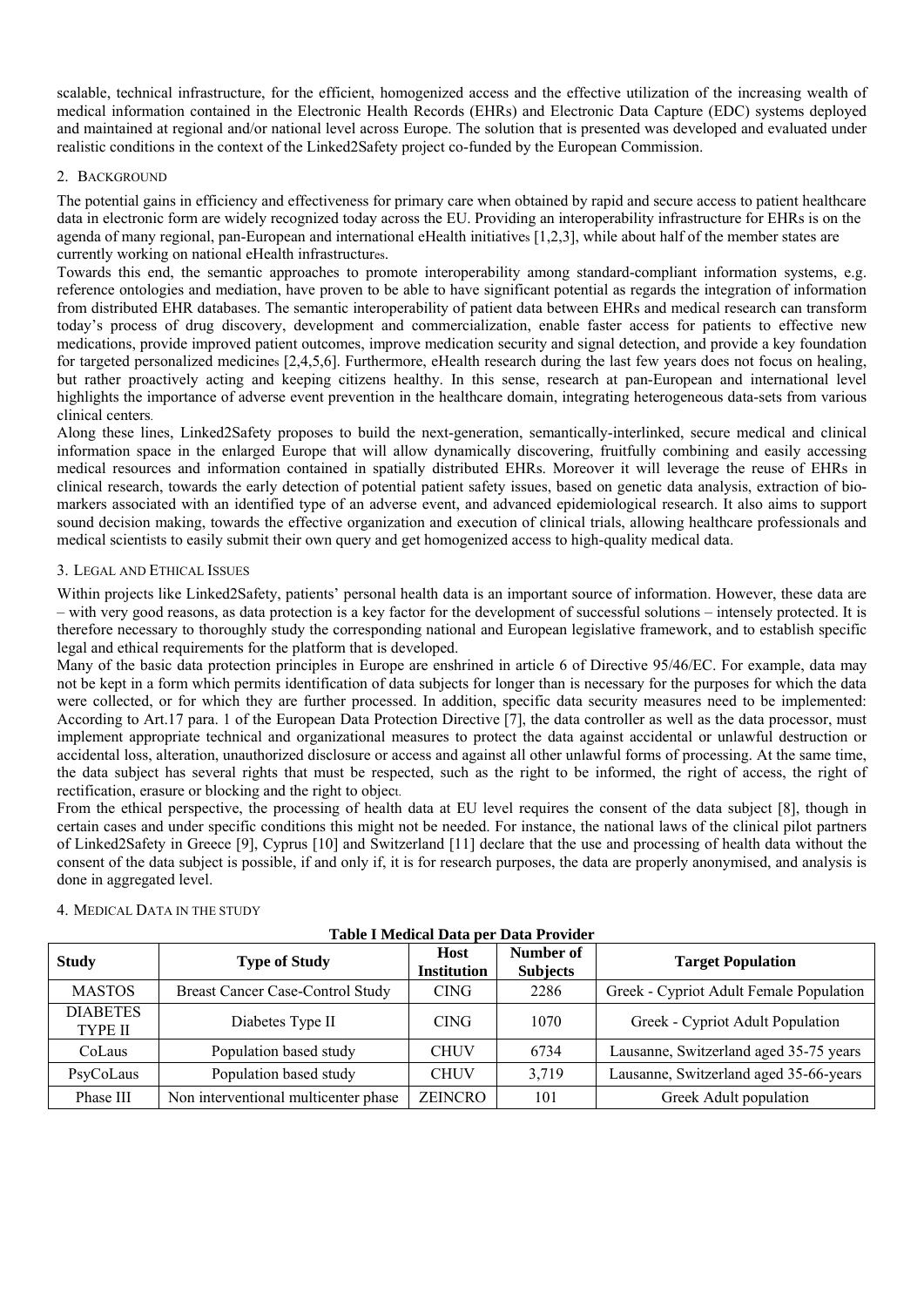scalable, technical infrastructure, for the efficient, homogenized access and the effective utilization of the increasing wealth of medical information contained in the Electronic Health Records (EHRs) and Electronic Data Capture (EDC) systems deployed and maintained at regional and/or national level across Europe. The solution that is presented was developed and evaluated under realistic conditions in the context of the Linked2Safety project co-funded by the European Commission.

# 2. BACKGROUND

The potential gains in efficiency and effectiveness for primary care when obtained by rapid and secure access to patient healthcare data in electronic form are widely recognized today across the EU. Providing an interoperability infrastructure for EHRs is on the agenda of many regional, pan-European and international eHealth initiatives [1,2,3], while about half of the member states are currently working on national eHealth infrastructures. Towards this end, the semantic approaches to promote interoperability among standard-compliant information systems, e.g.

reference ontologies and mediation, have proven to be able to have significant potential as regards the integration of information from distributed EHR databases. The semantic interoperability of patient data between EHRs and medical research can transform today's process of drug discovery, development and commercialization, enable faster access for patients to effective new medications, provide improved patient outcomes, improve medication security and signal detection, and provide a key foundation for targeted personalized medicines [2,4,5,6]. Furthermore, eHealth research during the last few years does not focus on healing, but rather proactively acting and keeping citizens healthy. In this sense, research at pan-European and international level highlights the importance of adverse event prevention in the healthcare domain, integrating heterogeneous data-sets from various clinical centers.

Along these lines, Linked2Safety proposes to build the next-generation, semantically-interlinked, secure medical and clinical information space in the enlarged Europe that will allow dynamically discovering, fruitfully combining and easily accessing medical resources and information contained in spatially distributed EHRs. Moreover it will leverage the reuse of EHRs in clinical research, towards the early detection of potential patient safety issues, based on genetic data analysis, extraction of biomarkers associated with an identified type of an adverse event, and advanced epidemiological research. It also aims to support sound decision making, towards the effective organization and execution of clinical trials, allowing healthcare professionals and medical scientists to easily submit their own query and get homogenized access to high-quality medical data.

# 3. LEGAL AND ETHICAL ISSUES

Within projects like Linked2Safety, patients' personal health data is an important source of information. However, these data are – with very good reasons, as data protection is a key factor for the development of successful solutions – intensely protected. It is therefore necessary to thoroughly study the corresponding national and European legislative framework, and to establish specific legal and ethical requirements for the platform that is developed.

Many of the basic data protection principles in Europe are enshrined in article 6 of Directive 95/46/EC. For example, data may not be kept in a form which permits identification of data subjects for longer than is necessary for the purposes for which the data were collected, or for which they are further processed. In addition, specific data security measures need to be implemented: According to Art.17 para. 1 of the European Data Protection Directive [7], the data controller as well as the data processor, must implement appropriate technical and organizational measures to protect the data against accidental or unlawful destruction or accidental loss, alteration, unauthorized disclosure or access and against all other unlawful forms of processing. At the same time, the data subject has several rights that must be respected, such as the right to be informed, the right of access, the right of rectification, erasure or blocking and the right to object.

From the ethical perspective, the processing of health data at EU level requires the consent of the data subject [8], though in certain cases and under specific conditions this might not be needed. For instance, the national laws of the clinical pilot partners of Linked2Safety in Greece [9], Cyprus [10] and Switzerland [11] declare that the use and processing of health data without the consent of the data subject is possible, if and only if, it is for research purposes, the data are properly anonymised, and analysis is done in aggregated level.

| Table I Medical Data per Data Provider |                                         |                                   |                              |                                         |  |  |  |  |
|----------------------------------------|-----------------------------------------|-----------------------------------|------------------------------|-----------------------------------------|--|--|--|--|
| <b>Study</b>                           | <b>Type of Study</b>                    | <b>Host</b><br><b>Institution</b> | Number of<br><b>Subjects</b> | <b>Target Population</b>                |  |  |  |  |
| <b>MASTOS</b>                          | <b>Breast Cancer Case-Control Study</b> | <b>CING</b>                       | 2286                         | Greek - Cypriot Adult Female Population |  |  |  |  |
| <b>DIABETES</b><br><b>TYPE II</b>      | Diabetes Type II                        | <b>CING</b>                       | 1070                         | Greek - Cypriot Adult Population        |  |  |  |  |
| CoLaus                                 | Population based study                  | CHUV                              | 6734                         | Lausanne, Switzerland aged 35-75 years  |  |  |  |  |
| PsyCoLaus                              | Population based study                  | <b>CHUV</b>                       | 3,719                        | Lausanne, Switzerland aged 35-66-years  |  |  |  |  |
| Phase III                              | Non interventional multicenter phase    | ZEINCRO                           | 101                          | Greek Adult population                  |  |  |  |  |

**Table I Medical Data per Data Provider** 

# 4. MEDICAL DATA IN THE STUDY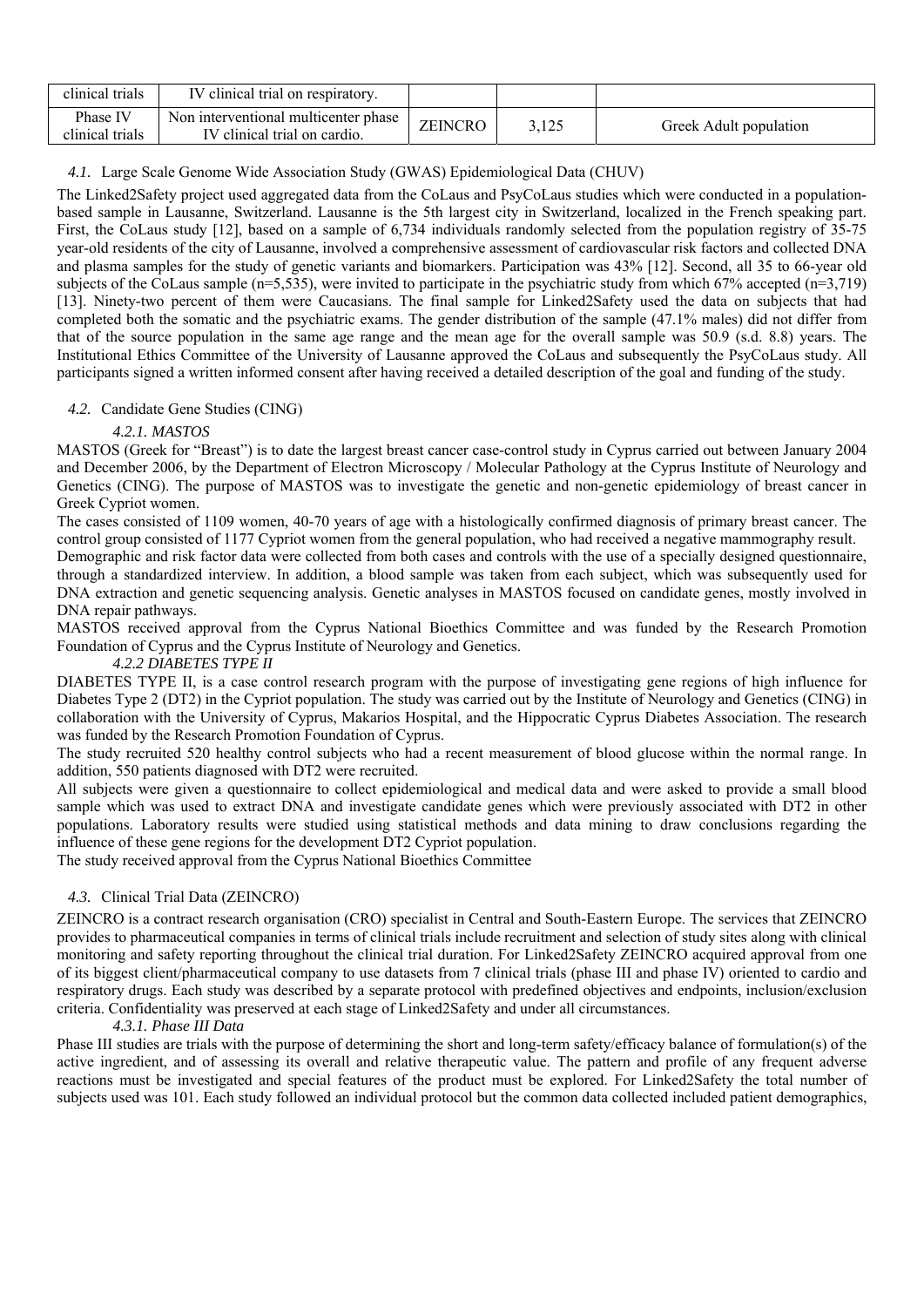| clinical trials             | IV clinical trial on respiratory.                                    |                |       |                        |
|-----------------------------|----------------------------------------------------------------------|----------------|-------|------------------------|
| Phase IV<br>clinical trials | Non interventional multicenter phase<br>IV clinical trial on cardio. | <b>ZEINCRO</b> | 3,125 | Greek Adult population |

*4.1.* Large Scale Genome Wide Association Study (GWAS) Epidemiological Data (CHUV)

The Linked2Safety project used aggregated data from the CoLaus and PsyCoLaus studies which were conducted in a populationbased sample in Lausanne, Switzerland. Lausanne is the 5th largest city in Switzerland, localized in the French speaking part. First, the CoLaus study [12], based on a sample of 6,734 individuals randomly selected from the population registry of 35-75 year-old residents of the city of Lausanne, involved a comprehensive assessment of cardiovascular risk factors and collected DNA and plasma samples for the study of genetic variants and biomarkers. Participation was 43% [12]. Second, all 35 to 66-year old subjects of the CoLaus sample ( $n=5,535$ ), were invited to participate in the psychiatric study from which 67% accepted ( $n=3,719$ ) [13]. Ninety-two percent of them were Caucasians. The final sample for Linked2Safety used the data on subjects that had completed both the somatic and the psychiatric exams. The gender distribution of the sample (47.1% males) did not differ from that of the source population in the same age range and the mean age for the overall sample was 50.9 (s.d. 8.8) years. The Institutional Ethics Committee of the University of Lausanne approved the CoLaus and subsequently the PsyCoLaus study. All participants signed a written informed consent after having received a detailed description of the goal and funding of the study.

# *4.2.* Candidate Gene Studies (CING)

# *4.2.1. MASTOS*

MASTOS (Greek for "Breast") is to date the largest breast cancer case-control study in Cyprus carried out between January 2004 and December 2006, by the Department of Electron Microscopy / Molecular Pathology at the Cyprus Institute of Neurology and Genetics (CING). The purpose of MASTOS was to investigate the genetic and non-genetic epidemiology of breast cancer in Greek Cypriot women.

The cases consisted of 1109 women, 40-70 years of age with a histologically confirmed diagnosis of primary breast cancer. The control group consisted of 1177 Cypriot women from the general population, who had received a negative mammography result. Demographic and risk factor data were collected from both cases and controls with the use of a specially designed questionnaire,

through a standardized interview. In addition, a blood sample was taken from each subject, which was subsequently used for DNA extraction and genetic sequencing analysis. Genetic analyses in MASTOS focused on candidate genes, mostly involved in DNA repair pathways.

MASTOS received approval from the Cyprus National Bioethics Committee and was funded by the Research Promotion Foundation of Cyprus and the Cyprus Institute of Neurology and Genetics.

# *4.2.2 DIABETES TYPE II*

DIABETES TYPE II, is a case control research program with the purpose of investigating gene regions of high influence for Diabetes Type 2 (DT2) in the Cypriot population. The study was carried out by the Institute of Neurology and Genetics (CING) in collaboration with the University of Cyprus, Makarios Hospital, and the Hippocratic Cyprus Diabetes Association. The research was funded by the Research Promotion Foundation of Cyprus.

The study recruited 520 healthy control subjects who had a recent measurement of blood glucose within the normal range. In addition, 550 patients diagnosed with DT2 were recruited.

All subjects were given a questionnaire to collect epidemiological and medical data and were asked to provide a small blood sample which was used to extract DNA and investigate candidate genes which were previously associated with DT2 in other populations. Laboratory results were studied using statistical methods and data mining to draw conclusions regarding the influence of these gene regions for the development DT2 Cypriot population.

The study received approval from the Cyprus National Bioethics Committee

# *4.3.* Clinical Trial Data (ZEINCRO)

ZEINCRO is a contract research organisation (CRO) specialist in Central and South-Eastern Europe. The services that ZEINCRO provides to pharmaceutical companies in terms of clinical trials include recruitment and selection of study sites along with clinical monitoring and safety reporting throughout the clinical trial duration. For Linked2Safety ZEINCRO acquired approval from one of its biggest client/pharmaceutical company to use datasets from 7 clinical trials (phase III and phase IV) oriented to cardio and respiratory drugs. Each study was described by a separate protocol with predefined objectives and endpoints, inclusion/exclusion criteria. Confidentiality was preserved at each stage of Linked2Safety and under all circumstances.

# *4.3.1. Phase III Data*

Phase III studies are trials with the purpose of determining the short and long-term safety/efficacy balance of formulation(s) of the active ingredient, and of assessing its overall and relative therapeutic value. The pattern and profile of any frequent adverse reactions must be investigated and special features of the product must be explored. For Linked2Safety the total number of subjects used was 101. Each study followed an individual protocol but the common data collected included patient demographics,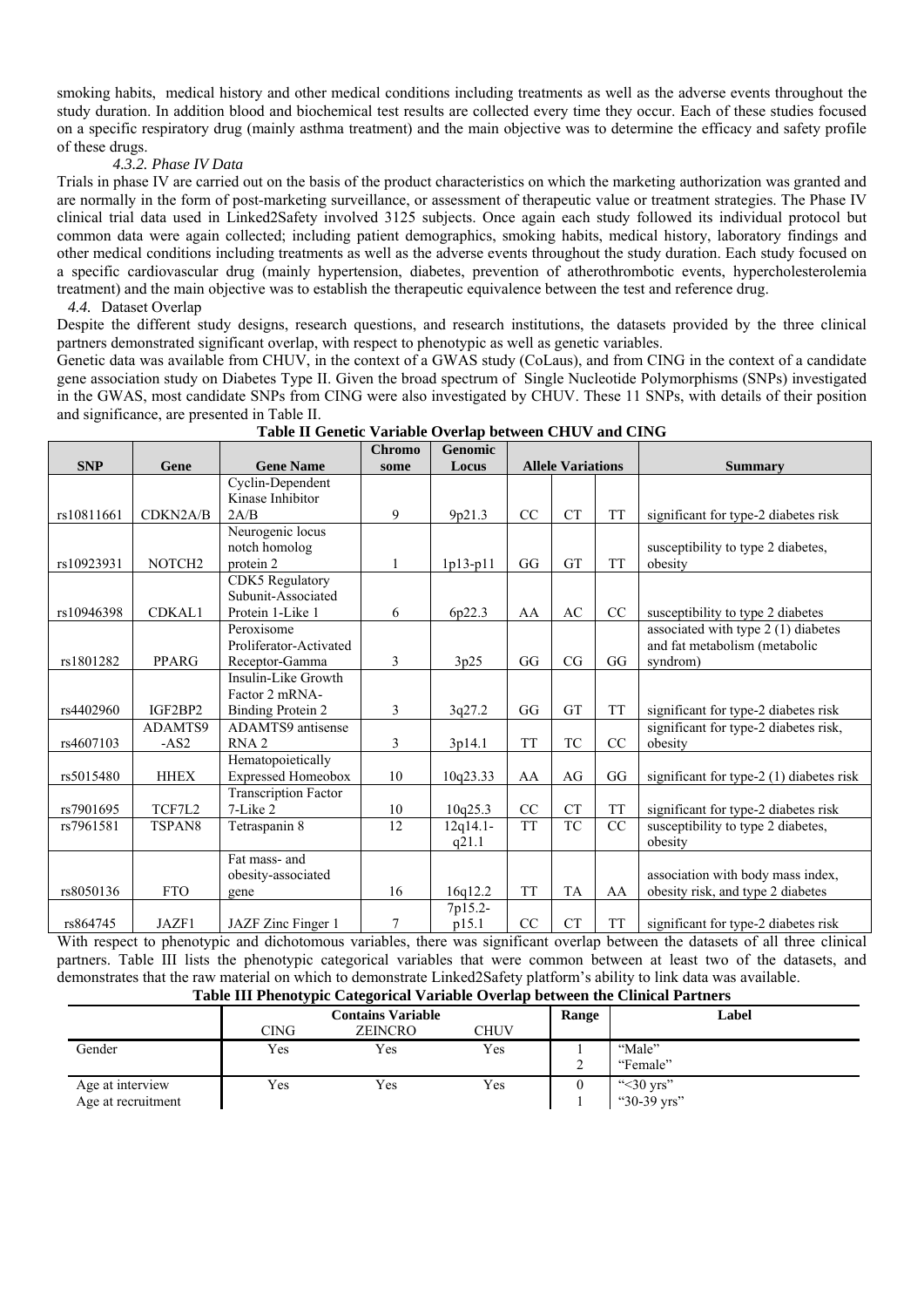smoking habits, medical history and other medical conditions including treatments as well as the adverse events throughout the study duration. In addition blood and biochemical test results are collected every time they occur. Each of these studies focused on a specific respiratory drug (mainly asthma treatment) and the main objective was to determine the efficacy and safety profile of these drugs.

# *4.3.2. Phase IV Data*

Trials in phase IV are carried out on the basis of the product characteristics on which the marketing authorization was granted and are normally in the form of post-marketing surveillance, or assessment of therapeutic value or treatment strategies. The Phase IV clinical trial data used in Linked2Safety involved 3125 subjects. Once again each study followed its individual protocol but common data were again collected; including patient demographics, smoking habits, medical history, laboratory findings and other medical conditions including treatments as well as the adverse events throughout the study duration. Each study focused on a specific cardiovascular drug (mainly hypertension, diabetes, prevention of atherothrombotic events, hypercholesterolemia treatment) and the main objective was to establish the therapeutic equivalence between the test and reference drug. *4.4.* Dataset Overlap

Despite the different study designs, research questions, and research institutions, the datasets provided by the three clinical partners demonstrated significant overlap, with respect to phenotypic as well as genetic variables.

Genetic data was available from CHUV, in the context of a GWAS study (CoLaus), and from CING in the context of a candidate gene association study on Diabetes Type II. Given the broad spectrum of Single Nucleotide Polymorphisms (SNPs) investigated in the GWAS, most candidate SNPs from CING were also investigated by CHUV. These 11 SNPs, with details of their position and significance, are presented in Table II.

|            |                    |                             | <b>Chromo</b> | <b>Genomic</b> |           |                          |           |                                          |
|------------|--------------------|-----------------------------|---------------|----------------|-----------|--------------------------|-----------|------------------------------------------|
| <b>SNP</b> | Gene               | <b>Gene Name</b>            | some          | Locus          |           | <b>Allele Variations</b> |           | <b>Summary</b>                           |
|            |                    | Cyclin-Dependent            |               |                |           |                          |           |                                          |
|            |                    | Kinase Inhibitor            |               |                |           |                          |           |                                          |
| rs10811661 | CDKN2A/B           | 2A/B                        | 9             | 9p21.3         | CC        | <b>CT</b>                | <b>TT</b> | significant for type-2 diabetes risk     |
|            |                    | Neurogenic locus            |               |                |           |                          |           |                                          |
|            |                    | notch homolog               |               |                |           |                          |           | susceptibility to type 2 diabetes,       |
| rs10923931 | NOTCH <sub>2</sub> | protein 2                   | 1             | $1p13-p11$     | GG        | <b>GT</b>                | <b>TT</b> | obesity                                  |
|            |                    | CDK5 Regulatory             |               |                |           |                          |           |                                          |
|            |                    | Subunit-Associated          |               |                |           |                          |           |                                          |
| rs10946398 | CDKAL1             | Protein 1-Like 1            | 6             | 6p22.3         | AA        | AC                       | CC        | susceptibility to type 2 diabetes        |
|            |                    | Peroxisome                  |               |                |           |                          |           | associated with type 2 (1) diabetes      |
|            |                    | Proliferator-Activated      |               |                |           |                          |           | and fat metabolism (metabolic            |
| rs1801282  | <b>PPARG</b>       | Receptor-Gamma              | 3             | 3p25           | GG        | CG                       | GG        | syndrom)                                 |
|            |                    | Insulin-Like Growth         |               |                |           |                          |           |                                          |
|            |                    | Factor 2 mRNA-              |               |                |           |                          |           |                                          |
| rs4402960  | IGF2BP2            | Binding Protein 2           | 3             | 3q27.2         | GG        | GT                       | <b>TT</b> | significant for type-2 diabetes risk     |
|            | ADAMTS9            | <b>ADAMTS9</b> antisense    |               |                |           |                          |           | significant for type-2 diabetes risk,    |
| rs4607103  | $-AS2$             | RNA <sub>2</sub>            | 3             | 3p14.1         | <b>TT</b> | TC                       | CC        | obesity                                  |
|            |                    | Hematopoietically           |               |                |           |                          |           |                                          |
| rs5015480  | <b>HHEX</b>        | <b>Expressed Homeobox</b>   | 10            | 10q23.33       | AA        | AG                       | GG        | significant for type-2 (1) diabetes risk |
|            |                    | <b>Transcription Factor</b> |               |                |           |                          |           |                                          |
| rs7901695  | TCF7L2             | 7-Like 2                    | 10            | 10q25.3        | $\rm CC$  | CT                       | TT        | significant for type-2 diabetes risk     |
| rs7961581  | TSPAN8             | Tetraspanin 8               | 12            | 12q14.1-       | <b>TT</b> | ${\rm TC}$               | CC        | susceptibility to type 2 diabetes,       |
|            |                    |                             |               | q21.1          |           |                          |           | obesity                                  |
|            |                    | Fat mass- and               |               |                |           |                          |           |                                          |
|            |                    | obesity-associated          |               |                |           |                          |           | association with body mass index,        |
| rs8050136  | <b>FTO</b>         | gene                        | 16            | 16q12.2        | <b>TT</b> | <b>TA</b>                | AA        | obesity risk, and type 2 diabetes        |
|            |                    |                             |               | 7p15.2-        |           |                          |           |                                          |
| rs864745   | JAZF1              | JAZF Zinc Finger 1          | 7             | p15.1          | $\rm CC$  | CT                       | <b>TT</b> | significant for type-2 diabetes risk     |

**Table II Genetic Variable Overlap between CHUV and CING** 

With respect to phenotypic and dichotomous variables, there was significant overlap between the datasets of all three clinical partners. Table III lists the phenotypic categorical variables that were common between at least two of the datasets, and demonstrates that the raw material on which to demonstrate Linked2Safety platform's ability to link data was available.

| Table III Phenotypic Categorical Variable Overlap between the Clinical Partners |  |  |
|---------------------------------------------------------------------------------|--|--|
|                                                                                 |  |  |

|                                        | <b>Contains Variable</b><br>Range |                |      |             | Label                           |
|----------------------------------------|-----------------------------------|----------------|------|-------------|---------------------------------|
|                                        | <b>CING</b>                       | <b>ZEINCRO</b> | CHUV |             |                                 |
| Gender                                 | Yes                               | Yes            | Yes  | $\sim$<br>∠ | "Male"<br>"Female"              |
| Age at interview<br>Age at recruitment | Yes.                              | Yes            | Yes  |             | " $\leq 30$ yrs"<br>"30-39 yrs" |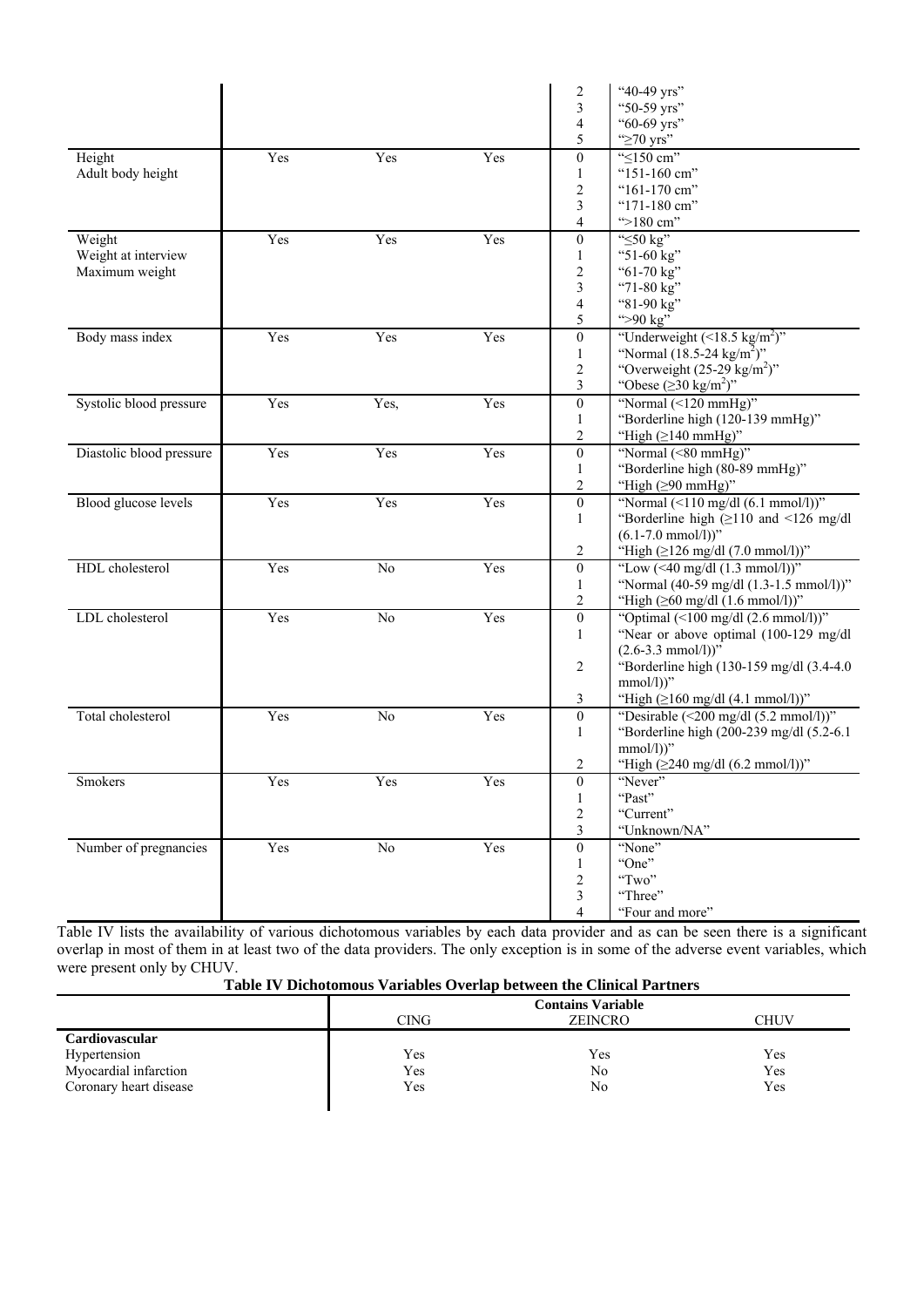|                             |     |          |     | $\overline{c}$                   | "40-49 yrs"                                                  |
|-----------------------------|-----|----------|-----|----------------------------------|--------------------------------------------------------------|
|                             |     |          |     | 3                                | "50-59 yrs"                                                  |
|                             |     |          |     | 4                                | "60-69 yrs"                                                  |
|                             |     |          |     | 5                                | ">70 yrs"                                                    |
| Height                      | Yes | Yes      | Yes | $\boldsymbol{0}$                 | " $\leq$ 150 cm"                                             |
| Adult body height           |     |          |     | $\mathbf{1}$                     | "151-160 cm"                                                 |
|                             |     |          |     | $\overline{c}$                   | "161-170 cm"                                                 |
|                             |     |          |     | $\mathfrak z$                    | "171-180 cm"                                                 |
|                             |     |          |     | $\overline{4}$                   | ">180 cm"                                                    |
| Weight                      | Yes | Yes      | Yes | $\boldsymbol{0}$                 | "<50 kg"                                                     |
| Weight at interview         |     |          |     | 1                                | "51-60 kg"                                                   |
|                             |     |          |     |                                  | "61-70 kg"                                                   |
| Maximum weight              |     |          |     | $\overline{c}$<br>$\mathfrak{Z}$ | "71-80 kg"                                                   |
|                             |     |          |     |                                  |                                                              |
|                             |     |          |     | $\overline{4}$                   | "81-90 kg"                                                   |
|                             |     |          |     | $\sqrt{5}$                       | ">90 kg"                                                     |
| Body mass index             | Yes | Yes      | Yes | $\boldsymbol{0}$                 | "Underweight $(\leq 18.5 \text{ kg/m}^2)$ "                  |
|                             |     |          |     | $\mathbf{1}$                     | "Normal $(18.5-24 \text{ kg/m}^2)$ "                         |
|                             |     |          |     | $\boldsymbol{2}$                 | "Overweight $(25-29 \text{ kg/m}^2)$ "                       |
|                             |     |          |     | 3                                | "Obese $(\geq 30 \text{ kg/m}^2)$ "                          |
| Systolic blood pressure     | Yes | Yes,     | Yes | $\boldsymbol{0}$                 | "Normal $(\leq 120$ mmHg)"                                   |
|                             |     |          |     | $\mathbf{1}$                     | "Borderline high (120-139 mmHg)"                             |
|                             |     |          |     | $\overline{2}$                   | "High $(\geq 140$ mmHg)"                                     |
| Diastolic blood pressure    | Yes | Yes      | Yes | $\boldsymbol{0}$                 | "Normal (<80 mmHg)"                                          |
|                             |     |          |     | $\mathbf{1}$                     | "Borderline high (80-89 mmHg)"                               |
|                             |     |          |     | $\overline{c}$                   | "High $(\geq 90$ mmHg)"                                      |
| <b>Blood</b> glucose levels | Yes | Yes      | Yes | $\boldsymbol{0}$                 | "Normal $(\leq 110 \text{ mg/dl} (6.1 \text{ mmol/l}))$ "    |
|                             |     |          |     | $\mathbf{1}$                     | "Borderline high $(\geq 110$ and $\leq 126$ mg/dl            |
|                             |     |          |     |                                  | $(6.1-7.0 \text{ mmol/l}))$ "                                |
|                             |     |          |     | $\overline{c}$                   | "High $(\geq 126 \text{ mg/dl} (7.0 \text{ mmol/l}))$ "      |
| HDL cholesterol             | Yes | No       | Yes | $\boldsymbol{0}$                 | "Low $(\leq 40 \text{ mg/dl} (1.3 \text{ mmol/l}))$ "        |
|                             |     |          |     |                                  |                                                              |
|                             |     |          |     | $\mathbf{1}$                     | "Normal (40-59 mg/dl (1.3-1.5 mmol/l))"                      |
|                             |     |          |     | $\overline{2}$                   | "High $(\geq 60 \text{ mg/dl} (1.6 \text{ mmol/l}))$ "       |
| LDL cholesterol             | Yes | No       | Yes | $\boldsymbol{0}$                 | "Optimal $(\leq 100 \text{ mg/dl} (2.6 \text{ mmol/l}))$ "   |
|                             |     |          |     | $\mathbf{1}$                     | "Near or above optimal (100-129 mg/dl                        |
|                             |     |          |     |                                  | $(2.6-3.3 \text{ mmol/l}))$ "                                |
|                             |     |          |     | $\overline{c}$                   | "Borderline high (130-159 mg/dl (3.4-4.0)                    |
|                             |     |          |     |                                  | $mmol/l$ )"                                                  |
|                             |     |          |     | 3                                | "High $(\geq 160 \text{ mg/dl} (4.1 \text{ mmol/l}))$ "      |
| Total cholesterol           | Yes | $\rm No$ | Yes | $\boldsymbol{0}$                 | "Desirable $(\leq 200 \text{ mg/dl} (5.2 \text{ mmol/l}))$ " |
|                             |     |          |     | $\mathbf{1}$                     | "Borderline high (200-239 mg/dl (5.2-6.1)                    |
|                             |     |          |     |                                  | $mmol/l$ )"                                                  |
|                             |     |          |     | $\overline{c}$                   | "High $(\geq 240 \text{ mg/dl} (6.2 \text{ mmol/l}))$ "      |
| Smokers                     | Yes | Yes      | Yes | $\boldsymbol{0}$                 | "Never"                                                      |
|                             |     |          |     | $\mathbf{1}$                     | "Past"                                                       |
|                             |     |          |     | $\overline{c}$                   | "Current"                                                    |
|                             |     |          |     | $\mathfrak{Z}$                   | "Unknown/NA"                                                 |
| Number of pregnancies       | Yes | No       | Yes | $\boldsymbol{0}$                 | "None"                                                       |
|                             |     |          |     | $\mathbf{1}$                     | "One"                                                        |
|                             |     |          |     |                                  | "Two"                                                        |
|                             |     |          |     | $\overline{c}$                   |                                                              |
|                             |     |          |     | $\mathfrak{Z}$                   | "Three"                                                      |
|                             |     |          |     | $\overline{4}$                   | "Four and more"                                              |

Table IV lists the availability of various dichotomous variables by each data provider and as can be seen there is a significant overlap in most of them in at least two of the data providers. The only exception is in some of the adverse event variables, which were present only by CHUV.

# **Table IV Dichotomous Variables Overlap between the Clinical Partners**

|                        | Table TV Dichotomous Variables Overlap between the Chineal I althers |                          |      |  |  |  |  |  |
|------------------------|----------------------------------------------------------------------|--------------------------|------|--|--|--|--|--|
|                        |                                                                      | <b>Contains Variable</b> |      |  |  |  |  |  |
|                        | <b>CING</b>                                                          | <b>ZEINCRO</b>           | CHUV |  |  |  |  |  |
| Cardiovascular         |                                                                      |                          |      |  |  |  |  |  |
| Hypertension           | Yes                                                                  | Yes                      | Yes  |  |  |  |  |  |
| Myocardial infarction  | Yes                                                                  | No                       | Yes  |  |  |  |  |  |
| Coronary heart disease | Yes                                                                  | No                       | Yes  |  |  |  |  |  |
|                        |                                                                      |                          |      |  |  |  |  |  |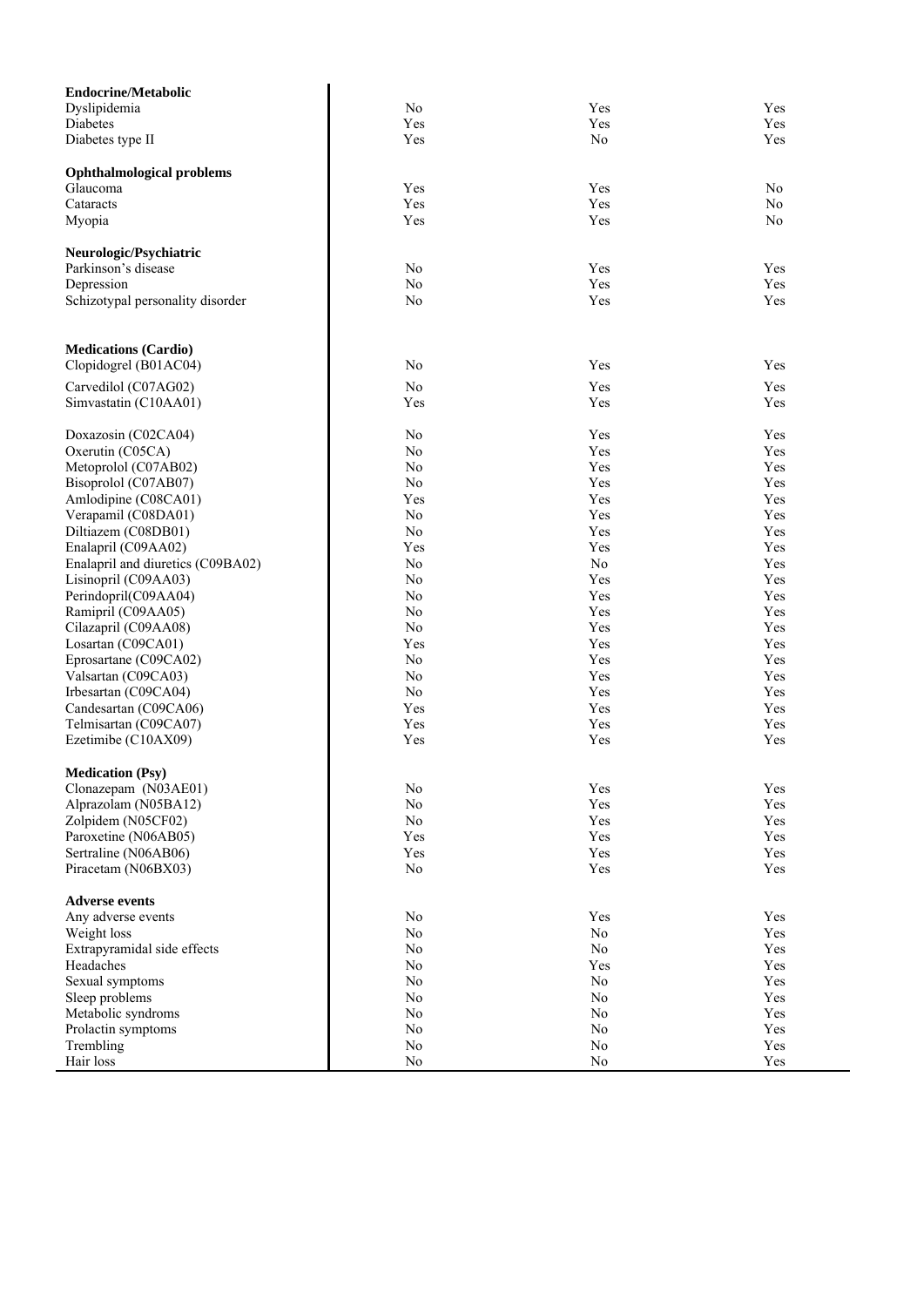| <b>Endocrine/Metabolic</b>        |                |                |                |
|-----------------------------------|----------------|----------------|----------------|
| Dyslipidemia                      | No             | Yes            | Yes            |
| Diabetes                          | Yes            | Yes            | Yes            |
| Diabetes type II                  | Yes            | N <sub>0</sub> | Yes            |
|                                   |                |                |                |
| <b>Ophthalmological problems</b>  |                |                |                |
| Glaucoma                          | Yes            | Yes            | N <sub>0</sub> |
| Cataracts                         | Yes            | Yes            | No             |
| Myopia                            | Yes            | Yes            | N <sub>0</sub> |
|                                   |                |                |                |
| Neurologic/Psychiatric            |                |                |                |
| Parkinson's disease               | N <sub>0</sub> | Yes            | Yes            |
| Depression                        | No             | Yes            | Yes            |
| Schizotypal personality disorder  | No             | Yes            | Yes            |
|                                   |                |                |                |
| <b>Medications (Cardio)</b>       |                |                |                |
| Clopidogrel (B01AC04)             | No             | Yes            | Yes            |
|                                   |                |                |                |
| Carvedilol (C07AG02)              | No             | Yes            | Yes            |
| Simvastatin (C10AA01)             | Yes            | Yes            | Yes            |
|                                   |                |                |                |
| Doxazosin (C02CA04)               | No             | Yes            | Yes            |
| Oxerutin (C05CA)                  | No             | Yes            | Yes            |
| Metoprolol (C07AB02)              | No             | Yes            | Yes            |
| Bisoprolol (C07AB07)              | No             | Yes            | Yes            |
| Amlodipine (C08CA01)              | Yes            | Yes            | Yes            |
| Verapamil (C08DA01)               | No             | Yes            | Yes            |
| Diltiazem (C08DB01)               | No             | Yes            | Yes            |
| Enalapril (C09AA02)               | Yes            | Yes            | Yes            |
| Enalapril and diuretics (C09BA02) | N <sub>0</sub> | N <sub>0</sub> | Yes            |
| Lisinopril (C09AA03)              | No             | Yes            | Yes            |
| Perindopril(C09AA04)              | No             | Yes            | Yes            |
| Ramipril (C09AA05)                | No             | Yes            | Yes            |
| Cilazapril (C09AA08)              | No             | Yes            | Yes            |
| Losartan (C09CA01)                | Yes            | Yes            | Yes            |
| Eprosartane (C09CA02)             | No             | Yes            | Yes            |
| Valsartan (C09CA03)               | N <sub>0</sub> | Yes            | Yes            |
| Irbesartan (C09CA04)              | N <sub>0</sub> | Yes            | Yes            |
| Candesartan (C09CA06)             | Yes            | Yes            | Yes            |
| Telmisartan (C09CA07)             | Yes            | Yes            | Yes            |
| Ezetimibe (C10AX09)               | Yes            | Yes            | Yes            |
|                                   |                |                |                |
| <b>Medication (Psy)</b>           |                |                |                |
| Clonazepam (N03AE01)              | No             | Yes            | Yes            |
| Alprazolam (N05BA12)              | $\rm No$       | Yes            | Yes            |
| Zolpidem (N05CF02)                | N <sub>0</sub> | Yes            | Yes            |
| Paroxetine (N06AB05)              | Yes            | Yes            | Yes            |
| Sertraline (N06AB06)              | Yes            | Yes            | Yes            |
| Piracetam (N06BX03)               | N <sub>0</sub> | Yes            | Yes            |
|                                   |                |                |                |
| <b>Adverse events</b>             |                |                |                |
| Any adverse events                | No             | Yes            | Yes            |
| Weight loss                       | No             | N <sub>0</sub> | Yes            |
| Extrapyramidal side effects       | No             | No             | Yes            |
| Headaches                         | No             | Yes            | Yes            |
| Sexual symptoms                   | No             | No             | Yes            |
| Sleep problems                    | No             | N <sub>0</sub> | Yes            |
| Metabolic syndroms                | No             | No             | Yes            |
| Prolactin symptoms                | No             | N <sub>0</sub> | Yes            |
| Trembling                         | No             | No             | Yes            |
| Hair loss                         | No             | No             | Yes            |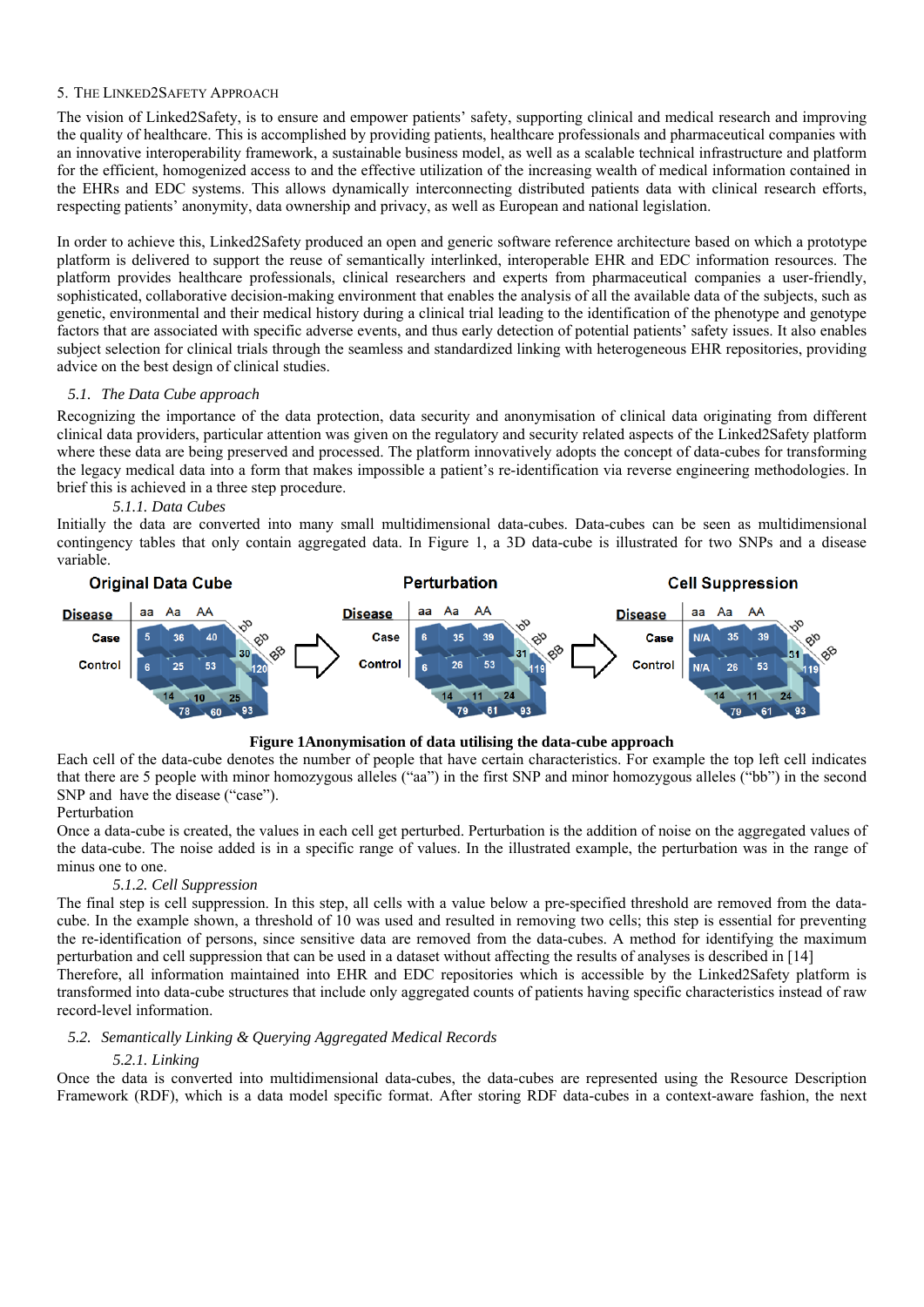# 5. THE LINKED2SAFETY APPROACH

The vision of Linked2Safety, is to ensure and empower patients' safety, supporting clinical and medical research and improving the quality of healthcare. This is accomplished by providing patients, healthcare professionals and pharmaceutical companies with an innovative interoperability framework, a sustainable business model, as well as a scalable technical infrastructure and platform for the efficient, homogenized access to and the effective utilization of the increasing wealth of medical information contained in the EHRs and EDC systems. This allows dynamically interconnecting distributed patients data with clinical research efforts, respecting patients' anonymity, data ownership and privacy, as well as European and national legislation.

In order to achieve this, Linked2Safety produced an open and generic software reference architecture based on which a prototype platform is delivered to support the reuse of semantically interlinked, interoperable EHR and EDC information resources. The platform provides healthcare professionals, clinical researchers and experts from pharmaceutical companies a user-friendly, sophisticated, collaborative decision-making environment that enables the analysis of all the available data of the subjects, such as genetic, environmental and their medical history during a clinical trial leading to the identification of the phenotype and genotype factors that are associated with specific adverse events, and thus early detection of potential patients' safety issues. It also enables subject selection for clinical trials through the seamless and standardized linking with heterogeneous EHR repositories, providing advice on the best design of clinical studies.

# *5.1. The Data Cube approach*

Recognizing the importance of the data protection, data security and anonymisation of clinical data originating from different clinical data providers, particular attention was given on the regulatory and security related aspects of the Linked2Safety platform where these data are being preserved and processed. The platform innovatively adopts the concept of data-cubes for transforming the legacy medical data into a form that makes impossible a patient's re-identification via reverse engineering methodologies. In brief this is achieved in a three step procedure.

# *5.1.1. Data Cubes*

Initially the data are converted into many small multidimensional data-cubes. Data-cubes can be seen as multidimensional contingency tables that only contain aggregated data. In Figure 1, a 3D data-cube is illustrated for two SNPs and a disease variable.





Each cell of the data-cube denotes the number of people that have certain characteristics. For example the top left cell indicates that there are 5 people with minor homozygous alleles ("aa") in the first SNP and minor homozygous alleles ("bb") in the second SNP and have the disease ("case").

# Perturbation

Once a data-cube is created, the values in each cell get perturbed. Perturbation is the addition of noise on the aggregated values of the data-cube. The noise added is in a specific range of values. In the illustrated example, the perturbation was in the range of minus one to one.

# *5.1.2. Cell Suppression*

The final step is cell suppression. In this step, all cells with a value below a pre-specified threshold are removed from the datacube. In the example shown, a threshold of 10 was used and resulted in removing two cells; this step is essential for preventing the re-identification of persons, since sensitive data are removed from the data-cubes. A method for identifying the maximum perturbation and cell suppression that can be used in a dataset without affecting the results of analyses is described in [14] Therefore, all information maintained into EHR and EDC repositories which is accessible by the Linked2Safety platform is transformed into data-cube structures that include only aggregated counts of patients having specific characteristics instead of raw

record-level information. *5.2. Semantically Linking & Querying Aggregated Medical Records* 

# *5.2.1. Linking*

Once the data is converted into multidimensional data-cubes, the data-cubes are represented using the Resource Description Framework (RDF), which is a data model specific format. After storing RDF data-cubes in a context-aware fashion, the next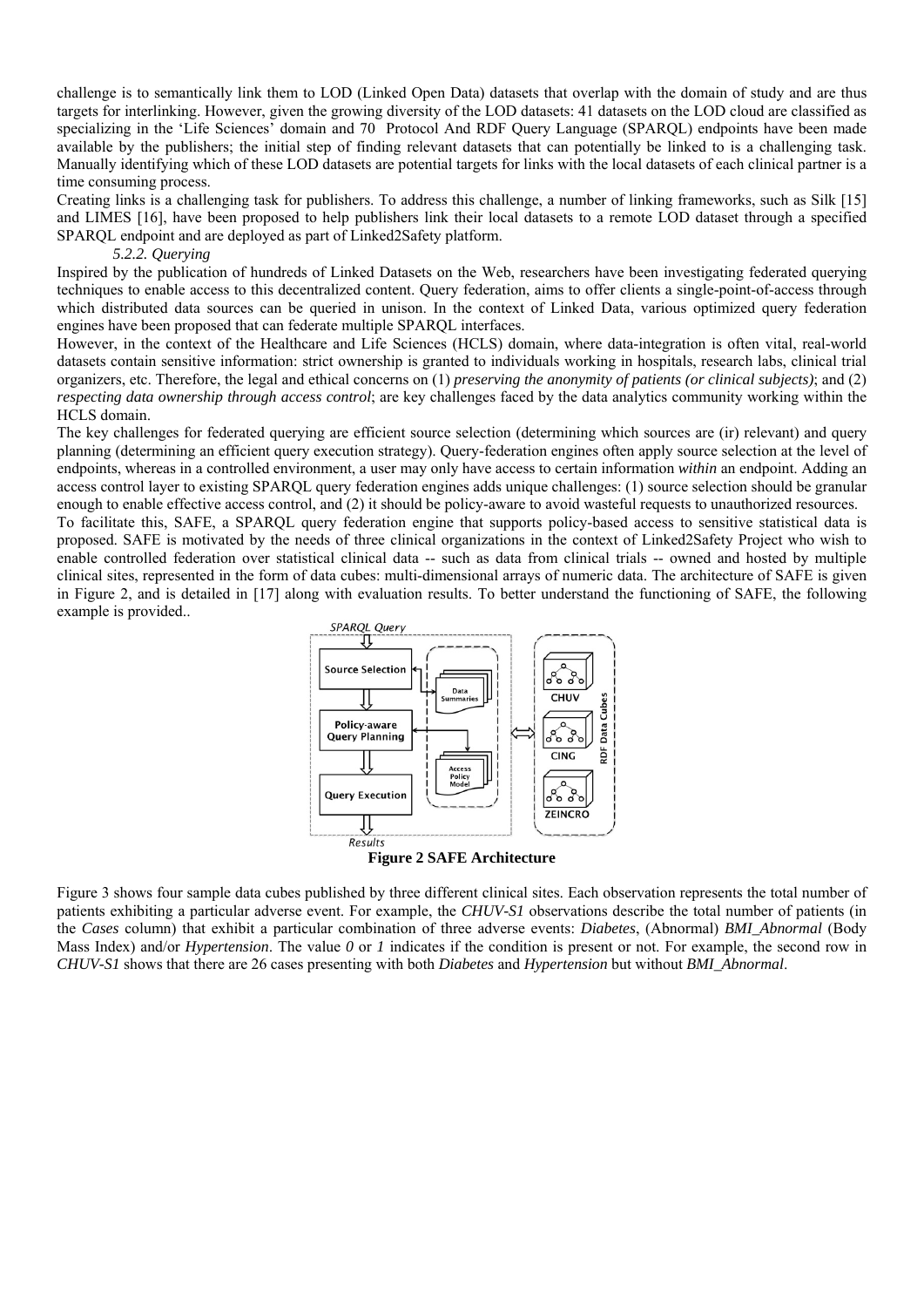challenge is to semantically link them to LOD (Linked Open Data) datasets that overlap with the domain of study and are thus targets for interlinking. However, given the growing diversity of the LOD datasets: 41 datasets on the LOD cloud are classified as specializing in the 'Life Sciences' domain and 70 Protocol And RDF Query Language (SPAROL) endpoints have been made available by the publishers; the initial step of finding relevant datasets that can potentially be linked to is a challenging task. Manually identifying which of these LOD datasets are potential targets for links with the local datasets of each clinical partner is a time consuming process.

Creating links is a challenging task for publishers. To address this challenge, a number of linking frameworks, such as Silk [15] and LIMES [16], have been proposed to help publishers link their local datasets to a remote LOD dataset through a specified SPARQL endpoint and are deployed as part of Linked2Safety platform.

#### *5.2.2. Querying*

Inspired by the publication of hundreds of Linked Datasets on the Web, researchers have been investigating federated querying techniques to enable access to this decentralized content. Query federation, aims to offer clients a single-point-of-access through which distributed data sources can be queried in unison. In the context of Linked Data, various optimized query federation engines have been proposed that can federate multiple SPARQL interfaces.

However, in the context of the Healthcare and Life Sciences (HCLS) domain, where data-integration is often vital, real-world datasets contain sensitive information: strict ownership is granted to individuals working in hospitals, research labs, clinical trial organizers, etc. Therefore, the legal and ethical concerns on (1) *preserving the anonymity of patients (or clinical subjects)*; and (2) *respecting data ownership through access control*; are key challenges faced by the data analytics community working within the HCLS domain.

The key challenges for federated querying are efficient source selection (determining which sources are (ir) relevant) and query planning (determining an efficient query execution strategy). Query-federation engines often apply source selection at the level of endpoints, whereas in a controlled environment, a user may only have access to certain information *within* an endpoint. Adding an access control layer to existing SPARQL query federation engines adds unique challenges: (1) source selection should be granular enough to enable effective access control, and (2) it should be policy-aware to avoid wasteful requests to unauthorized resources.

To facilitate this, SAFE, a SPARQL query federation engine that supports policy-based access to sensitive statistical data is proposed. SAFE is motivated by the needs of three clinical organizations in the context of Linked2Safety Project who wish to enable controlled federation over statistical clinical data -- such as data from clinical trials -- owned and hosted by multiple clinical sites, represented in the form of data cubes: multi-dimensional arrays of numeric data. The architecture of SAFE is given in Figure 2, and is detailed in [17] along with evaluation results. To better understand the functioning of SAFE, the following example is provided..



#### **Figure 2 SAFE Architecture**

Figure 3 shows four sample data cubes published by three different clinical sites. Each observation represents the total number of patients exhibiting a particular adverse event. For example, the *CHUV-S1* observations describe the total number of patients (in the *Cases* column) that exhibit a particular combination of three adverse events: *Diabetes*, (Abnormal) *BMI\_Abnormal* (Body Mass Index) and/or *Hypertension*. The value 0 or 1 indicates if the condition is present or not. For example, the second row in *CHUV-S1* shows that there are 26 cases presenting with both *Diabetes* and *Hypertension* but without *BMI\_Abnormal*.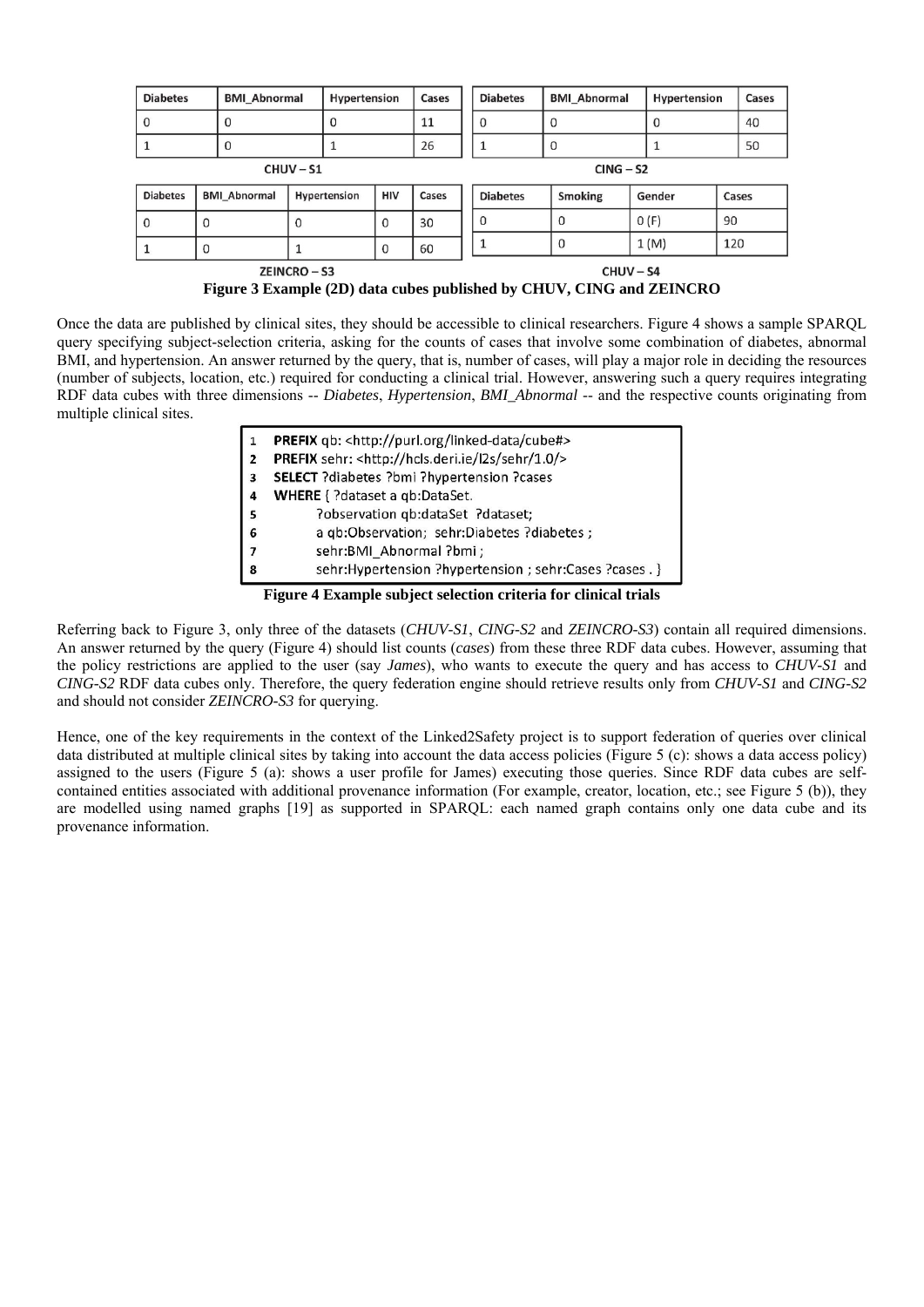| <b>Diabetes</b> |                   | <b>BMI Abnormal</b> |   | Hypertension |             | Cases | <b>Diabetes</b> | <b>BMI_Abnormal</b> |  | Hypertension |       | Cases |
|-----------------|-------------------|---------------------|---|--------------|-------------|-------|-----------------|---------------------|--|--------------|-------|-------|
| 0               |                   | O                   |   |              |             | 11    | 0               |                     |  | 0            |       | 40    |
|                 |                   | 0                   |   |              |             | 26    |                 |                     |  |              |       | 50    |
| $CHUV-S1$       |                   |                     |   |              | $CING - S2$ |       |                 |                     |  |              |       |       |
| <b>Diabetes</b> |                   | <b>BMI Abnormal</b> |   | Hypertension | <b>HIV</b>  | Cases | <b>Diabetes</b> | <b>Smoking</b>      |  | Gender       | Cases |       |
| $\mathbf 0$     | $\Omega$          |                     | 0 |              | 0           | 30    | $\Omega$        |                     |  | O(F)         | 90    |       |
|                 | 0                 |                     |   |              | $\Omega$    | 60    |                 |                     |  | 1(M)         | 120   |       |
|                 | <b>ZEINCRO-S3</b> |                     |   |              |             |       | $CHUV - S4$     |                     |  |              |       |       |

**Figure 3 Example (2D) data cubes published by CHUV, CING and ZEINCRO** 

Once the data are published by clinical sites, they should be accessible to clinical researchers. Figure 4 shows a sample SPARQL query specifying subject-selection criteria, asking for the counts of cases that involve some combination of diabetes, abnormal BMI, and hypertension. An answer returned by the query, that is, number of cases, will play a major role in deciding the resources (number of subjects, location, etc.) required for conducting a clinical trial. However, answering such a query requires integrating RDF data cubes with three dimensions -- *Diabetes*, *Hypertension*, *BMI\_Abnormal* -- and the respective counts originating from multiple clinical sites.

|   | PREFIX qb: <http: cube#="" linked-data="" purl.org=""></http:> |
|---|----------------------------------------------------------------|
|   | PREFIX sehr: < http://hcls.deri.ie/l2s/sehr/1.0/>              |
| 3 | <b>SELECT</b> ?diabetes ?bmi ?hypertension ?cases              |
|   | WHERE { ?dataset a qb:DataSet.                                 |
|   | ?observation qb:dataSet ?dataset;                              |
| 6 | a qb:Observation; sehr:Diabetes ?diabetes ;                    |
|   | sehr:BMI Abnormal ?bmi;                                        |
|   | sehr:Hypertension ?hypertension ; sehr:Cases ?cases . }        |

**Figure 4 Example subject selection criteria for clinical trials** 

Referring back to Figure 3, only three of the datasets (*CHUV-S1*, *CING-S2* and *ZEINCRO-S3*) contain all required dimensions. An answer returned by the query (Figure 4) should list counts (*cases*) from these three RDF data cubes. However, assuming that the policy restrictions are applied to the user (say *James*), who wants to execute the query and has access to *CHUV-S1* and *CING-S2* RDF data cubes only. Therefore, the query federation engine should retrieve results only from *CHUV-S1* and *CING-S2* and should not consider *ZEINCRO-S3* for querying.

Hence, one of the key requirements in the context of the Linked2Safety project is to support federation of queries over clinical data distributed at multiple clinical sites by taking into account the data access policies (Figure 5 (c): shows a data access policy) assigned to the users (Figure 5 (a): shows a user profile for James) executing those queries. Since RDF data cubes are selfcontained entities associated with additional provenance information (For example, creator, location, etc.; see Figure 5 (b)), they are modelled using named graphs [19] as supported in SPARQL: each named graph contains only one data cube and its provenance information.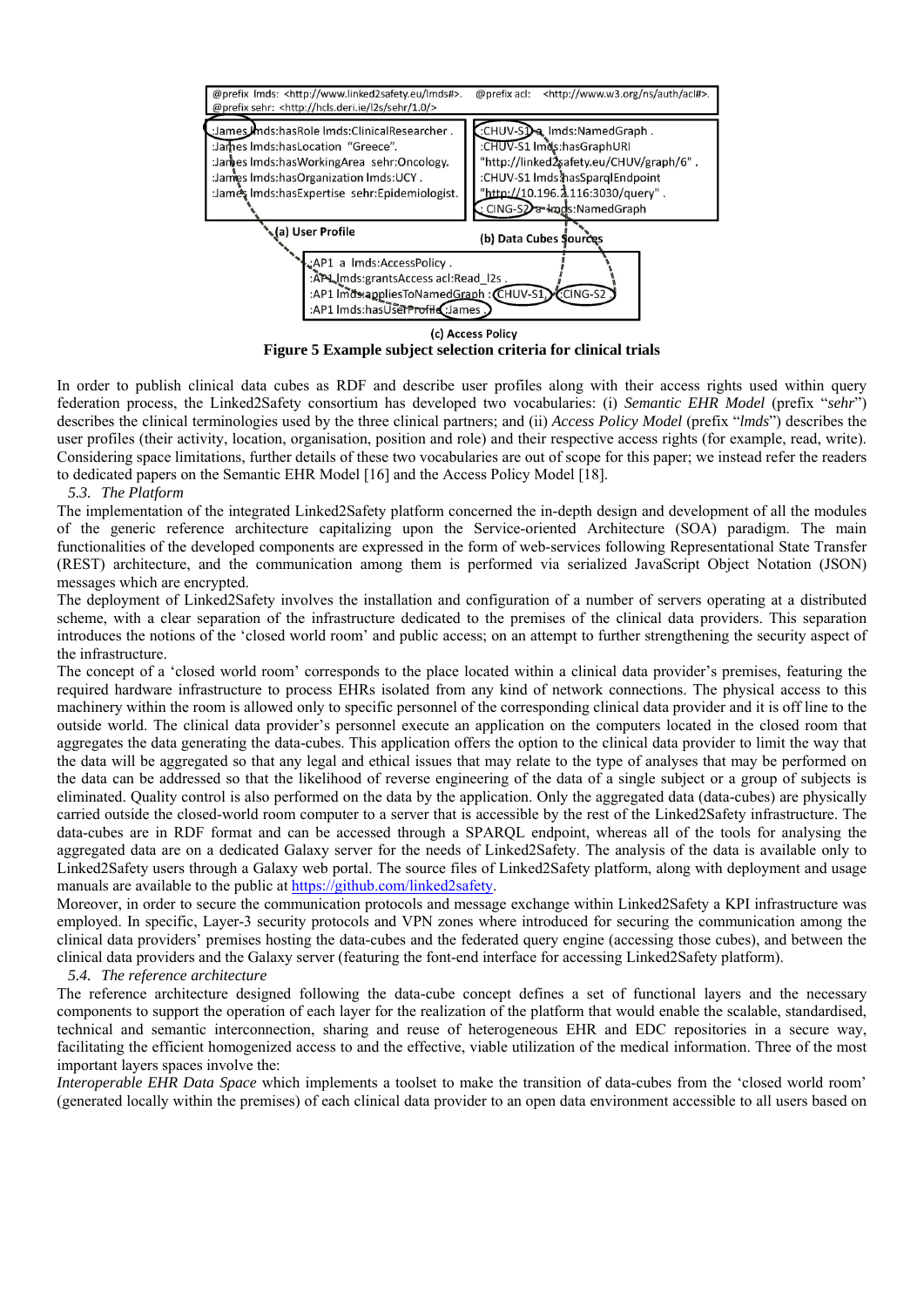

**Figure 5 Example subject selection criteria for clinical trials** 

In order to publish clinical data cubes as RDF and describe user profiles along with their access rights used within query federation process, the Linked2Safety consortium has developed two vocabularies: (i) *Semantic EHR Model* (prefix "*sehr*") describes the clinical terminologies used by the three clinical partners; and (ii) *Access Policy Model* (prefix "*lmds*") describes the user profiles (their activity, location, organisation, position and role) and their respective access rights (for example, read, write). Considering space limitations, further details of these two vocabularies are out of scope for this paper; we instead refer the readers to dedicated papers on the Semantic EHR Model [16] and the Access Policy Model [18].

#### *5.3. The Platform*

The implementation of the integrated Linked2Safety platform concerned the in-depth design and development of all the modules of the generic reference architecture capitalizing upon the Service-oriented Architecture (SOA) paradigm. The main functionalities of the developed components are expressed in the form of web-services following Representational State Transfer (REST) architecture, and the communication among them is performed via serialized JavaScript Object Notation (JSON) messages which are encrypted.

The deployment of Linked2Safety involves the installation and configuration of a number of servers operating at a distributed scheme, with a clear separation of the infrastructure dedicated to the premises of the clinical data providers. This separation introduces the notions of the 'closed world room' and public access; on an attempt to further strengthening the security aspect of the infrastructure.

The concept of a 'closed world room' corresponds to the place located within a clinical data provider's premises, featuring the required hardware infrastructure to process EHRs isolated from any kind of network connections. The physical access to this machinery within the room is allowed only to specific personnel of the corresponding clinical data provider and it is off line to the outside world. The clinical data provider's personnel execute an application on the computers located in the closed room that aggregates the data generating the data-cubes. This application offers the option to the clinical data provider to limit the way that the data will be aggregated so that any legal and ethical issues that may relate to the type of analyses that may be performed on the data can be addressed so that the likelihood of reverse engineering of the data of a single subject or a group of subjects is eliminated. Quality control is also performed on the data by the application. Only the aggregated data (data-cubes) are physically carried outside the closed-world room computer to a server that is accessible by the rest of the Linked2Safety infrastructure. The data-cubes are in RDF format and can be accessed through a SPARQL endpoint, whereas all of the tools for analysing the aggregated data are on a dedicated Galaxy server for the needs of Linked2Safety. The analysis of the data is available only to Linked2Safety users through a Galaxy web portal. The source files of Linked2Safety platform, along with deployment and usage manuals are available to the public at https://github.com/linked2safety.

Moreover, in order to secure the communication protocols and message exchange within Linked2Safety a KPI infrastructure was employed. In specific, Layer-3 security protocols and VPN zones where introduced for securing the communication among the clinical data providers' premises hosting the data-cubes and the federated query engine (accessing those cubes), and between the clinical data providers and the Galaxy server (featuring the font-end interface for accessing Linked2Safety platform).

# *5.4. The reference architecture*

The reference architecture designed following the data-cube concept defines a set of functional layers and the necessary components to support the operation of each layer for the realization of the platform that would enable the scalable, standardised, technical and semantic interconnection, sharing and reuse of heterogeneous EHR and EDC repositories in a secure way, facilitating the efficient homogenized access to and the effective, viable utilization of the medical information. Three of the most important layers spaces involve the:

*Interoperable EHR Data Space* which implements a toolset to make the transition of data-cubes from the 'closed world room' (generated locally within the premises) of each clinical data provider to an open data environment accessible to all users based on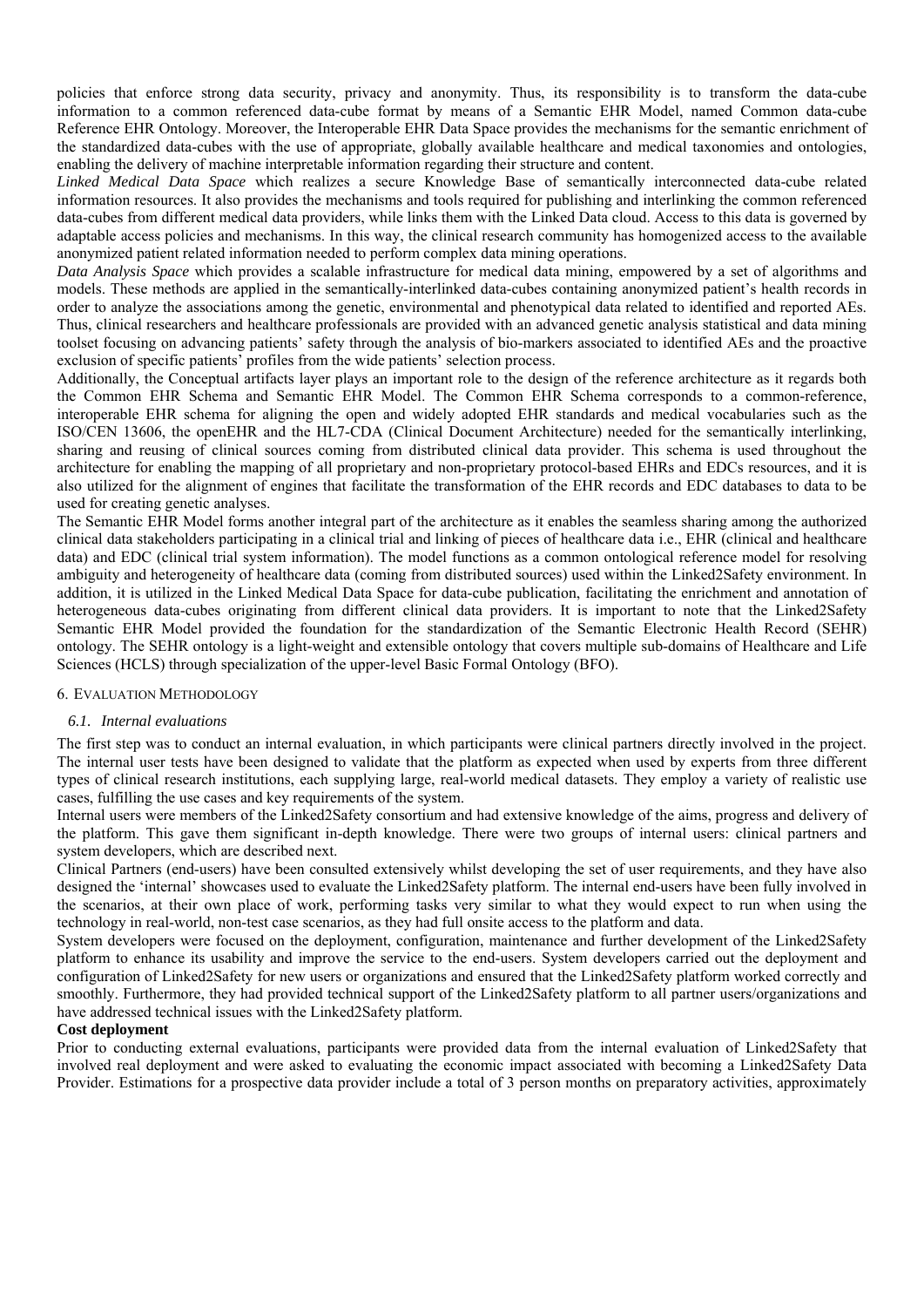policies that enforce strong data security, privacy and anonymity. Thus, its responsibility is to transform the data-cube information to a common referenced data-cube format by means of a Semantic EHR Model, named Common data-cube Reference EHR Ontology. Moreover, the Interoperable EHR Data Space provides the mechanisms for the semantic enrichment of the standardized data-cubes with the use of appropriate, globally available healthcare and medical taxonomies and ontologies, enabling the delivery of machine interpretable information regarding their structure and content.

*Linked Medical Data Space* which realizes a secure Knowledge Base of semantically interconnected data-cube related information resources. It also provides the mechanisms and tools required for publishing and interlinking the common referenced data-cubes from different medical data providers, while links them with the Linked Data cloud. Access to this data is governed by adaptable access policies and mechanisms. In this way, the clinical research community has homogenized access to the available anonymized patient related information needed to perform complex data mining operations.

*Data Analysis Space* which provides a scalable infrastructure for medical data mining, empowered by a set of algorithms and models. These methods are applied in the semantically-interlinked data-cubes containing anonymized patient's health records in order to analyze the associations among the genetic, environmental and phenotypical data related to identified and reported AEs. Thus, clinical researchers and healthcare professionals are provided with an advanced genetic analysis statistical and data mining toolset focusing on advancing patients' safety through the analysis of bio-markers associated to identified AEs and the proactive exclusion of specific patients' profiles from the wide patients' selection process.

Additionally, the Conceptual artifacts layer plays an important role to the design of the reference architecture as it regards both the Common EHR Schema and Semantic EHR Model. The Common EHR Schema corresponds to a common-reference, interoperable EHR schema for aligning the open and widely adopted EHR standards and medical vocabularies such as the ISO/CEN 13606, the openEHR and the HL7-CDA (Clinical Document Architecture) needed for the semantically interlinking, sharing and reusing of clinical sources coming from distributed clinical data provider. This schema is used throughout the architecture for enabling the mapping of all proprietary and non-proprietary protocol-based EHRs and EDCs resources, and it is also utilized for the alignment of engines that facilitate the transformation of the EHR records and EDC databases to data to be used for creating genetic analyses.

The Semantic EHR Model forms another integral part of the architecture as it enables the seamless sharing among the authorized clinical data stakeholders participating in a clinical trial and linking of pieces of healthcare data i.e., EHR (clinical and healthcare data) and EDC (clinical trial system information). The model functions as a common ontological reference model for resolving ambiguity and heterogeneity of healthcare data (coming from distributed sources) used within the Linked2Safety environment. In addition, it is utilized in the Linked Medical Data Space for data-cube publication, facilitating the enrichment and annotation of heterogeneous data-cubes originating from different clinical data providers. It is important to note that the Linked2Safety Semantic EHR Model provided the foundation for the standardization of the Semantic Electronic Health Record (SEHR) ontology. The SEHR ontology is a light-weight and extensible ontology that covers multiple sub-domains of Healthcare and Life Sciences (HCLS) through specialization of the upper-level Basic Formal Ontology (BFO).

#### 6. EVALUATION METHODOLOGY

#### *6.1. Internal evaluations*

The first step was to conduct an internal evaluation, in which participants were clinical partners directly involved in the project. The internal user tests have been designed to validate that the platform as expected when used by experts from three different types of clinical research institutions, each supplying large, real-world medical datasets. They employ a variety of realistic use cases, fulfilling the use cases and key requirements of the system.

Internal users were members of the Linked2Safety consortium and had extensive knowledge of the aims, progress and delivery of the platform. This gave them significant in-depth knowledge. There were two groups of internal users: clinical partners and system developers, which are described next.

Clinical Partners (end-users) have been consulted extensively whilst developing the set of user requirements, and they have also designed the 'internal' showcases used to evaluate the Linked2Safety platform. The internal end-users have been fully involved in the scenarios, at their own place of work, performing tasks very similar to what they would expect to run when using the technology in real-world, non-test case scenarios, as they had full onsite access to the platform and data.

System developers were focused on the deployment, configuration, maintenance and further development of the Linked2Safety platform to enhance its usability and improve the service to the end-users. System developers carried out the deployment and configuration of Linked2Safety for new users or organizations and ensured that the Linked2Safety platform worked correctly and smoothly. Furthermore, they had provided technical support of the Linked2Safety platform to all partner users/organizations and have addressed technical issues with the Linked2Safety platform.

# **Cost deployment**

Prior to conducting external evaluations, participants were provided data from the internal evaluation of Linked2Safety that involved real deployment and were asked to evaluating the economic impact associated with becoming a Linked2Safety Data Provider. Estimations for a prospective data provider include a total of 3 person months on preparatory activities, approximately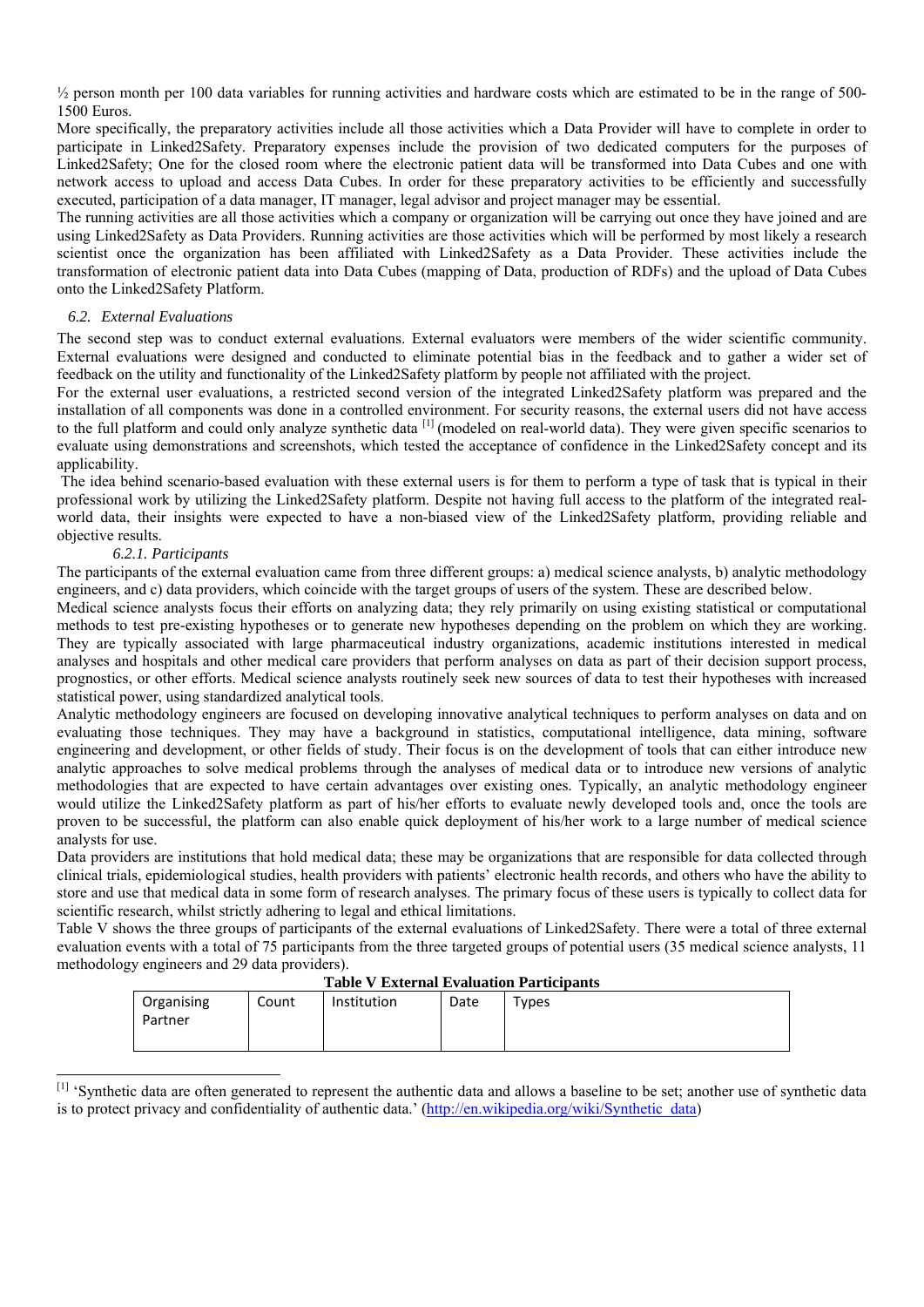$\frac{1}{2}$  person month per 100 data variables for running activities and hardware costs which are estimated to be in the range of 500-1500 Euros.

More specifically, the preparatory activities include all those activities which a Data Provider will have to complete in order to participate in Linked2Safety. Preparatory expenses include the provision of two dedicated computers for the purposes of Linked2Safety; One for the closed room where the electronic patient data will be transformed into Data Cubes and one with network access to upload and access Data Cubes. In order for these preparatory activities to be efficiently and successfully executed, participation of a data manager, IT manager, legal advisor and project manager may be essential.

The running activities are all those activities which a company or organization will be carrying out once they have joined and are using Linked2Safety as Data Providers. Running activities are those activities which will be performed by most likely a research scientist once the organization has been affiliated with Linked2Safety as a Data Provider. These activities include the transformation of electronic patient data into Data Cubes (mapping of Data, production of RDFs) and the upload of Data Cubes onto the Linked2Safety Platform.

# *6.2. External Evaluations*

The second step was to conduct external evaluations. External evaluators were members of the wider scientific community. External evaluations were designed and conducted to eliminate potential bias in the feedback and to gather a wider set of feedback on the utility and functionality of the Linked2Safety platform by people not affiliated with the project.

For the external user evaluations, a restricted second version of the integrated Linked2Safety platform was prepared and the installation of all components was done in a controlled environment. For security reasons, the external users did not have access to the full platform and could only analyze synthetic data <sup>[1]</sup> (modeled on real-world data). They were given specific scenarios to evaluate using demonstrations and screenshots, which tested the acceptance of confidence in the Linked2Safety concept and its applicability.

 The idea behind scenario-based evaluation with these external users is for them to perform a type of task that is typical in their professional work by utilizing the Linked2Safety platform. Despite not having full access to the platform of the integrated realworld data, their insights were expected to have a non-biased view of the Linked2Safety platform, providing reliable and objective results.

# *6.2.1. Participants*

The participants of the external evaluation came from three different groups: a) medical science analysts, b) analytic methodology engineers, and c) data providers, which coincide with the target groups of users of the system. These are described below.

Medical science analysts focus their efforts on analyzing data; they rely primarily on using existing statistical or computational methods to test pre-existing hypotheses or to generate new hypotheses depending on the problem on which they are working. They are typically associated with large pharmaceutical industry organizations, academic institutions interested in medical analyses and hospitals and other medical care providers that perform analyses on data as part of their decision support process, prognostics, or other efforts. Medical science analysts routinely seek new sources of data to test their hypotheses with increased statistical power, using standardized analytical tools.

Analytic methodology engineers are focused on developing innovative analytical techniques to perform analyses on data and on evaluating those techniques. They may have a background in statistics, computational intelligence, data mining, software engineering and development, or other fields of study. Their focus is on the development of tools that can either introduce new analytic approaches to solve medical problems through the analyses of medical data or to introduce new versions of analytic methodologies that are expected to have certain advantages over existing ones. Typically, an analytic methodology engineer would utilize the Linked2Safety platform as part of his/her efforts to evaluate newly developed tools and, once the tools are proven to be successful, the platform can also enable quick deployment of his/her work to a large number of medical science analysts for use.

Data providers are institutions that hold medical data; these may be organizations that are responsible for data collected through clinical trials, epidemiological studies, health providers with patients' electronic health records, and others who have the ability to store and use that medical data in some form of research analyses. The primary focus of these users is typically to collect data for scientific research, whilst strictly adhering to legal and ethical limitations.

Table V shows the three groups of participants of the external evaluations of Linked2Safety. There were a total of three external evaluation events with a total of 75 participants from the three targeted groups of potential users (35 medical science analysts, 11 methodology engineers and 29 data providers).

| Tuvit + DARIMI D+unuuvii I ul heiduno |       |             |      |       |  |  |  |  |  |
|---------------------------------------|-------|-------------|------|-------|--|--|--|--|--|
| Organising                            | Count | Institution | Date | Types |  |  |  |  |  |
| Partner                               |       |             |      |       |  |  |  |  |  |
|                                       |       |             |      |       |  |  |  |  |  |

# **Table V External Evaluation Participants**

<sup>-</sup>[1] 'Synthetic data are often generated to represent the authentic data and allows a baseline to be set; another use of synthetic data is to protect privacy and confidentiality of authentic data.' (http://en.wikipedia.org/wiki/Synthetic\_data)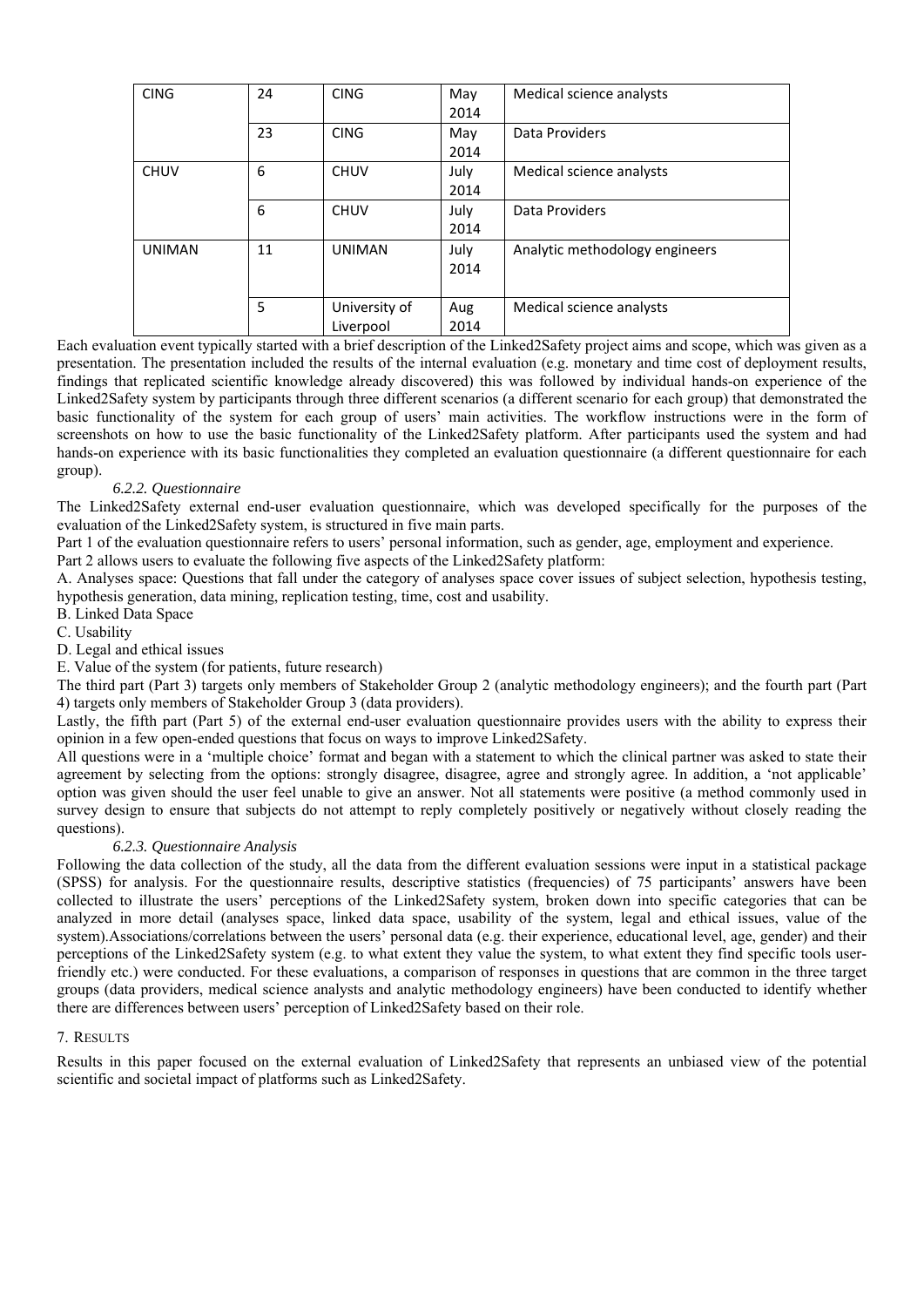| <b>CING</b>   | 24 | <b>CING</b>                | May<br>2014  | Medical science analysts       |
|---------------|----|----------------------------|--------------|--------------------------------|
|               | 23 | <b>CING</b>                | May<br>2014  | Data Providers                 |
| <b>CHUV</b>   | 6  | <b>CHUV</b>                | July<br>2014 | Medical science analysts       |
|               | 6  | <b>CHUV</b>                | July<br>2014 | Data Providers                 |
| <b>UNIMAN</b> | 11 | <b>UNIMAN</b>              | July<br>2014 | Analytic methodology engineers |
|               | 5  | University of<br>Liverpool | Aug<br>2014  | Medical science analysts       |

Each evaluation event typically started with a brief description of the Linked2Safety project aims and scope, which was given as a presentation. The presentation included the results of the internal evaluation (e.g. monetary and time cost of deployment results, findings that replicated scientific knowledge already discovered) this was followed by individual hands-on experience of the Linked2Safety system by participants through three different scenarios (a different scenario for each group) that demonstrated the basic functionality of the system for each group of users' main activities. The workflow instructions were in the form of screenshots on how to use the basic functionality of the Linked2Safety platform. After participants used the system and had hands-on experience with its basic functionalities they completed an evaluation questionnaire (a different questionnaire for each group).

# *6.2.2. Questionnaire*

The Linked2Safety external end-user evaluation questionnaire, which was developed specifically for the purposes of the evaluation of the Linked2Safety system, is structured in five main parts.

Part 1 of the evaluation questionnaire refers to users' personal information, such as gender, age, employment and experience.

Part 2 allows users to evaluate the following five aspects of the Linked2Safety platform:

A. Analyses space: Questions that fall under the category of analyses space cover issues of subject selection, hypothesis testing, hypothesis generation, data mining, replication testing, time, cost and usability.

B. Linked Data Space

C. Usability

D. Legal and ethical issues

E. Value of the system (for patients, future research)

The third part (Part 3) targets only members of Stakeholder Group 2 (analytic methodology engineers); and the fourth part (Part 4) targets only members of Stakeholder Group 3 (data providers).

Lastly, the fifth part (Part 5) of the external end-user evaluation questionnaire provides users with the ability to express their opinion in a few open-ended questions that focus on ways to improve Linked2Safety.

All questions were in a 'multiple choice' format and began with a statement to which the clinical partner was asked to state their agreement by selecting from the options: strongly disagree, disagree, agree and strongly agree. In addition, a 'not applicable' option was given should the user feel unable to give an answer. Not all statements were positive (a method commonly used in survey design to ensure that subjects do not attempt to reply completely positively or negatively without closely reading the questions).

# *6.2.3. Questionnaire Analysis*

Following the data collection of the study, all the data from the different evaluation sessions were input in a statistical package (SPSS) for analysis. For the questionnaire results, descriptive statistics (frequencies) of 75 participants' answers have been collected to illustrate the users' perceptions of the Linked2Safety system, broken down into specific categories that can be analyzed in more detail (analyses space, linked data space, usability of the system, legal and ethical issues, value of the system).Associations/correlations between the users' personal data (e.g. their experience, educational level, age, gender) and their perceptions of the Linked2Safety system (e.g. to what extent they value the system, to what extent they find specific tools userfriendly etc.) were conducted. For these evaluations, a comparison of responses in questions that are common in the three target groups (data providers, medical science analysts and analytic methodology engineers) have been conducted to identify whether there are differences between users' perception of Linked2Safety based on their role.

# 7. RESULTS

Results in this paper focused on the external evaluation of Linked2Safety that represents an unbiased view of the potential scientific and societal impact of platforms such as Linked2Safety.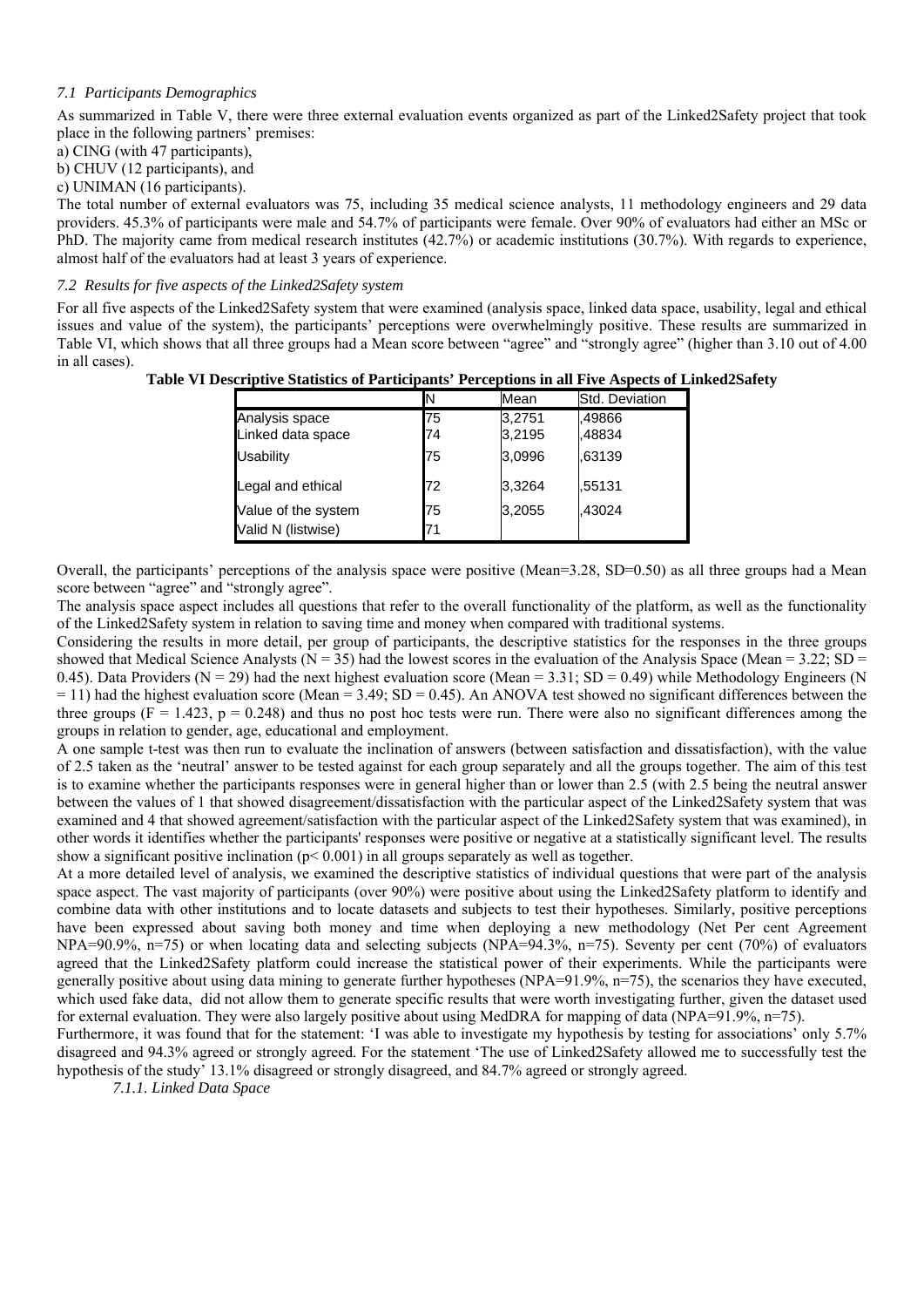## *7.1 Participants Demographics*

As summarized in Table V, there were three external evaluation events organized as part of the Linked2Safety project that took place in the following partners' premises:

# a) CING (with 47 participants),

# b) CHUV (12 participants), and

c) UNIMAN (16 participants).

The total number of external evaluators was 75, including 35 medical science analysts, 11 methodology engineers and 29 data providers. 45.3% of participants were male and 54.7% of participants were female. Over 90% of evaluators had either an MSc or PhD. The majority came from medical research institutes (42.7%) or academic institutions (30.7%). With regards to experience, almost half of the evaluators had at least 3 years of experience.

## *7.2 Results for five aspects of the Linked2Safety system*

For all five aspects of the Linked2Safety system that were examined (analysis space, linked data space, usability, legal and ethical issues and value of the system), the participants' perceptions were overwhelmingly positive. These results are summarized in Table VI, which shows that all three groups had a Mean score between "agree" and "strongly agree" (higher than 3.10 out of 4.00 in all cases).

| eriph e o cambién or rare membanto - re ceptiono in an rive rispecto or l |          |                  |                  |
|---------------------------------------------------------------------------|----------|------------------|------------------|
|                                                                           |          | Mean             | Std. Deviation   |
| Analysis space<br>Linked data space                                       | 75<br>74 | 3,2751<br>3,2195 | .49866<br>.48834 |
| <b>Usability</b>                                                          | 75       | 3,0996           | .63139           |
| Legal and ethical                                                         | 72       | 3,3264           | .55131           |
| Value of the system<br>Valid N (listwise)                                 | 75<br>71 | 3,2055           | .43024           |

Overall, the participants' perceptions of the analysis space were positive (Mean= $3.28$ , SD= $0.50$ ) as all three groups had a Mean score between "agree" and "strongly agree".

The analysis space aspect includes all questions that refer to the overall functionality of the platform, as well as the functionality of the Linked2Safety system in relation to saving time and money when compared with traditional systems.

Considering the results in more detail, per group of participants, the descriptive statistics for the responses in the three groups showed that Medical Science Analysts ( $N = 35$ ) had the lowest scores in the evaluation of the Analysis Space (Mean = 3.22; SD = 0.45). Data Providers (N = 29) had the next highest evaluation score (Mean = 3.31; SD = 0.49) while Methodology Engineers (N  $= 11$ ) had the highest evaluation score (Mean  $= 3.49$ ; SD  $= 0.45$ ). An ANOVA test showed no significant differences between the three groups ( $F = 1.423$ ,  $p = 0.248$ ) and thus no post hoc tests were run. There were also no significant differences among the groups in relation to gender, age, educational and employment.

A one sample t-test was then run to evaluate the inclination of answers (between satisfaction and dissatisfaction), with the value of 2.5 taken as the 'neutral' answer to be tested against for each group separately and all the groups together. The aim of this test is to examine whether the participants responses were in general higher than or lower than 2.5 (with 2.5 being the neutral answer between the values of 1 that showed disagreement/dissatisfaction with the particular aspect of the Linked2Safety system that was examined and 4 that showed agreement/satisfaction with the particular aspect of the Linked2Safety system that was examined), in other words it identifies whether the participants' responses were positive or negative at a statistically significant level. The results show a significant positive inclination (p< 0.001) in all groups separately as well as together.

At a more detailed level of analysis, we examined the descriptive statistics of individual questions that were part of the analysis space aspect. The vast majority of participants (over 90%) were positive about using the Linked2Safety platform to identify and combine data with other institutions and to locate datasets and subjects to test their hypotheses. Similarly, positive perceptions have been expressed about saving both money and time when deploying a new methodology (Net Per cent Agreement NPA=90.9%, n=75) or when locating data and selecting subjects (NPA=94.3%, n=75). Seventy per cent (70%) of evaluators agreed that the Linked2Safety platform could increase the statistical power of their experiments. While the participants were generally positive about using data mining to generate further hypotheses (NPA=91.9%,  $n=75$ ), the scenarios they have executed, which used fake data, did not allow them to generate specific results that were worth investigating further, given the dataset used for external evaluation. They were also largely positive about using MedDRA for mapping of data (NPA=91.9%, n=75).

Furthermore, it was found that for the statement: 'I was able to investigate my hypothesis by testing for associations' only 5.7% disagreed and 94.3% agreed or strongly agreed. For the statement 'The use of Linked2Safety allowed me to successfully test the hypothesis of the study' 13.1% disagreed or strongly disagreed, and 84.7% agreed or strongly agreed.

*7.1.1. Linked Data Space*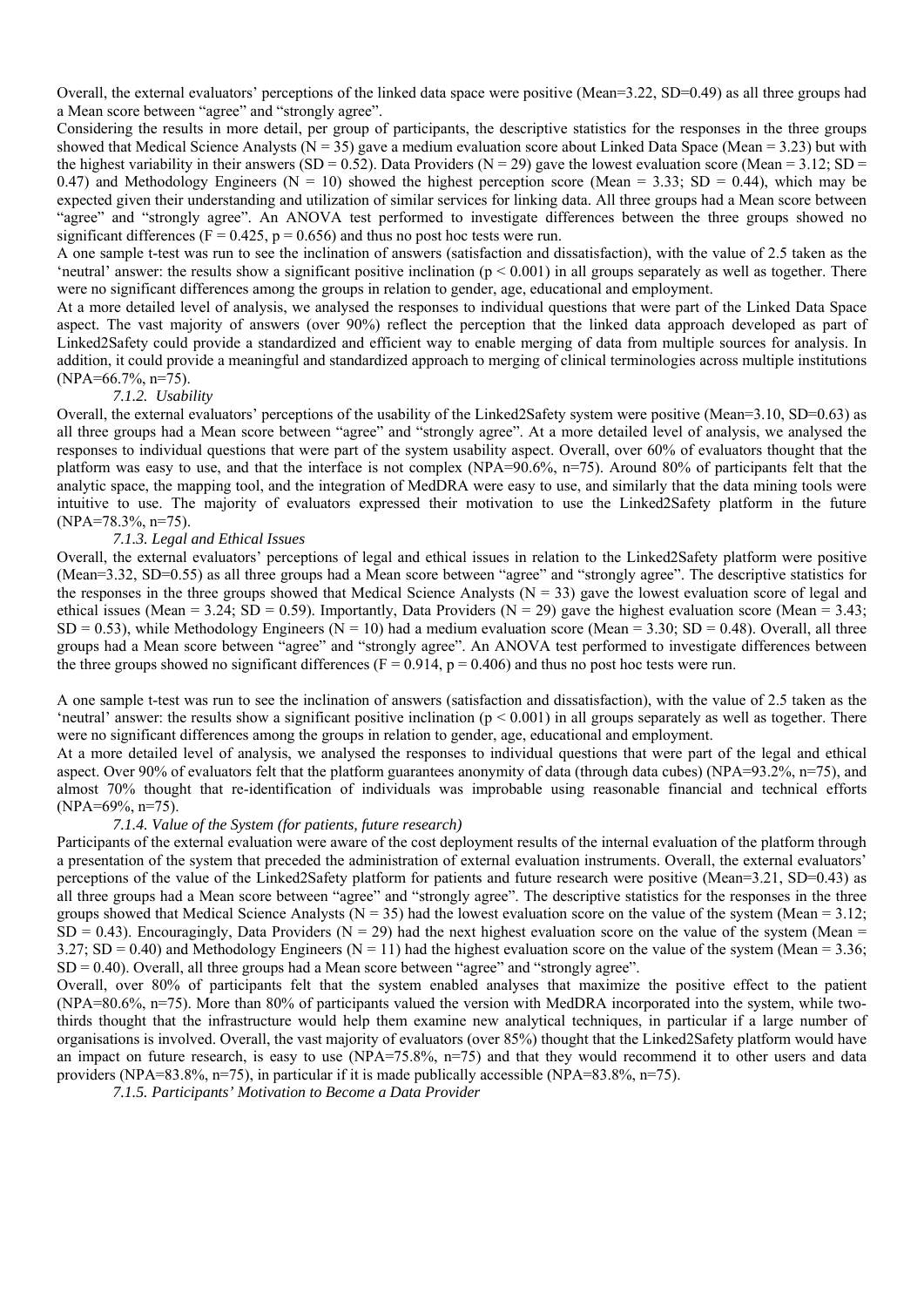Overall, the external evaluators' perceptions of the linked data space were positive (Mean=3.22, SD=0.49) as all three groups had a Mean score between "agree" and "strongly agree".

Considering the results in more detail, per group of participants, the descriptive statistics for the responses in the three groups showed that Medical Science Analysts ( $N = 35$ ) gave a medium evaluation score about Linked Data Space (Mean = 3.23) but with the highest variability in their answers (SD =  $0.52$ ). Data Providers (N = 29) gave the lowest evaluation score (Mean =  $3.12$ ; SD = 0.47) and Methodology Engineers (N = 10) showed the highest perception score (Mean = 3.33; SD = 0.44), which may be expected given their understanding and utilization of similar services for linking data. All three groups had a Mean score between "agree" and "strongly agree". An ANOVA test performed to investigate differences between the three groups showed no significant differences ( $F = 0.425$ ,  $p = 0.656$ ) and thus no post hoc tests were run.

A one sample t-test was run to see the inclination of answers (satisfaction and dissatisfaction), with the value of 2.5 taken as the 'neutral' answer: the results show a significant positive inclination  $(p < 0.001)$  in all groups separately as well as together. There were no significant differences among the groups in relation to gender, age, educational and employment.

At a more detailed level of analysis, we analysed the responses to individual questions that were part of the Linked Data Space aspect. The vast majority of answers (over 90%) reflect the perception that the linked data approach developed as part of Linked2Safety could provide a standardized and efficient way to enable merging of data from multiple sources for analysis. In addition, it could provide a meaningful and standardized approach to merging of clinical terminologies across multiple institutions (NPA=66.7%, n=75).

#### *7.1.2. Usability*

Overall, the external evaluators' perceptions of the usability of the Linked2Safety system were positive (Mean=3.10, SD=0.63) as all three groups had a Mean score between "agree" and "strongly agree". At a more detailed level of analysis, we analysed the responses to individual questions that were part of the system usability aspect. Overall, over 60% of evaluators thought that the platform was easy to use, and that the interface is not complex (NPA=90.6%, n=75). Around 80% of participants felt that the analytic space, the mapping tool, and the integration of MedDRA were easy to use, and similarly that the data mining tools were intuitive to use. The majority of evaluators expressed their motivation to use the Linked2Safety platform in the future (NPA=78.3%, n=75).

## *7.1.3. Legal and Ethical Issues*

Overall, the external evaluators' perceptions of legal and ethical issues in relation to the Linked2Safety platform were positive (Mean=3.32, SD=0.55) as all three groups had a Mean score between "agree" and "strongly agree". The descriptive statistics for the responses in the three groups showed that Medical Science Analysts  $(N = 33)$  gave the lowest evaluation score of legal and ethical issues (Mean = 3.24; SD = 0.59). Importantly, Data Providers (N = 29) gave the highest evaluation score (Mean = 3.43;  $SD = 0.53$ , while Methodology Engineers (N = 10) had a medium evaluation score (Mean = 3.30; SD = 0.48). Overall, all three groups had a Mean score between "agree" and "strongly agree". An ANOVA test performed to investigate differences between the three groups showed no significant differences ( $F = 0.914$ ,  $p = 0.406$ ) and thus no post hoc tests were run.

A one sample t-test was run to see the inclination of answers (satisfaction and dissatisfaction), with the value of 2.5 taken as the 'neutral' answer: the results show a significant positive inclination  $(p < 0.001)$  in all groups separately as well as together. There were no significant differences among the groups in relation to gender, age, educational and employment.

At a more detailed level of analysis, we analysed the responses to individual questions that were part of the legal and ethical aspect. Over 90% of evaluators felt that the platform guarantees anonymity of data (through data cubes) (NPA=93.2%, n=75), and almost 70% thought that re-identification of individuals was improbable using reasonable financial and technical efforts (NPA=69%, n=75).

# *7.1.4. Value of the System (for patients, future research)*

Participants of the external evaluation were aware of the cost deployment results of the internal evaluation of the platform through a presentation of the system that preceded the administration of external evaluation instruments. Overall, the external evaluators' perceptions of the value of the Linked2Safety platform for patients and future research were positive (Mean=3.21, SD=0.43) as all three groups had a Mean score between "agree" and "strongly agree". The descriptive statistics for the responses in the three groups showed that Medical Science Analysts ( $N = 35$ ) had the lowest evaluation score on the value of the system (Mean = 3.12;  $SD = 0.43$ ). Encouragingly, Data Providers (N = 29) had the next highest evaluation score on the value of the system (Mean =  $3.27$ ; SD = 0.40) and Methodology Engineers (N = 11) had the highest evaluation score on the value of the system (Mean = 3.36;  $SD = 0.40$ ). Overall, all three groups had a Mean score between "agree" and "strongly agree".

Overall, over 80% of participants felt that the system enabled analyses that maximize the positive effect to the patient (NPA=80.6%, n=75). More than 80% of participants valued the version with MedDRA incorporated into the system, while twothirds thought that the infrastructure would help them examine new analytical techniques, in particular if a large number of organisations is involved. Overall, the vast majority of evaluators (over 85%) thought that the Linked2Safety platform would have an impact on future research, is easy to use (NPA=75.8%, n=75) and that they would recommend it to other users and data providers (NPA=83.8%, n=75), in particular if it is made publically accessible (NPA=83.8%, n=75).

*7.1.5. Participants' Motivation to Become a Data Provider*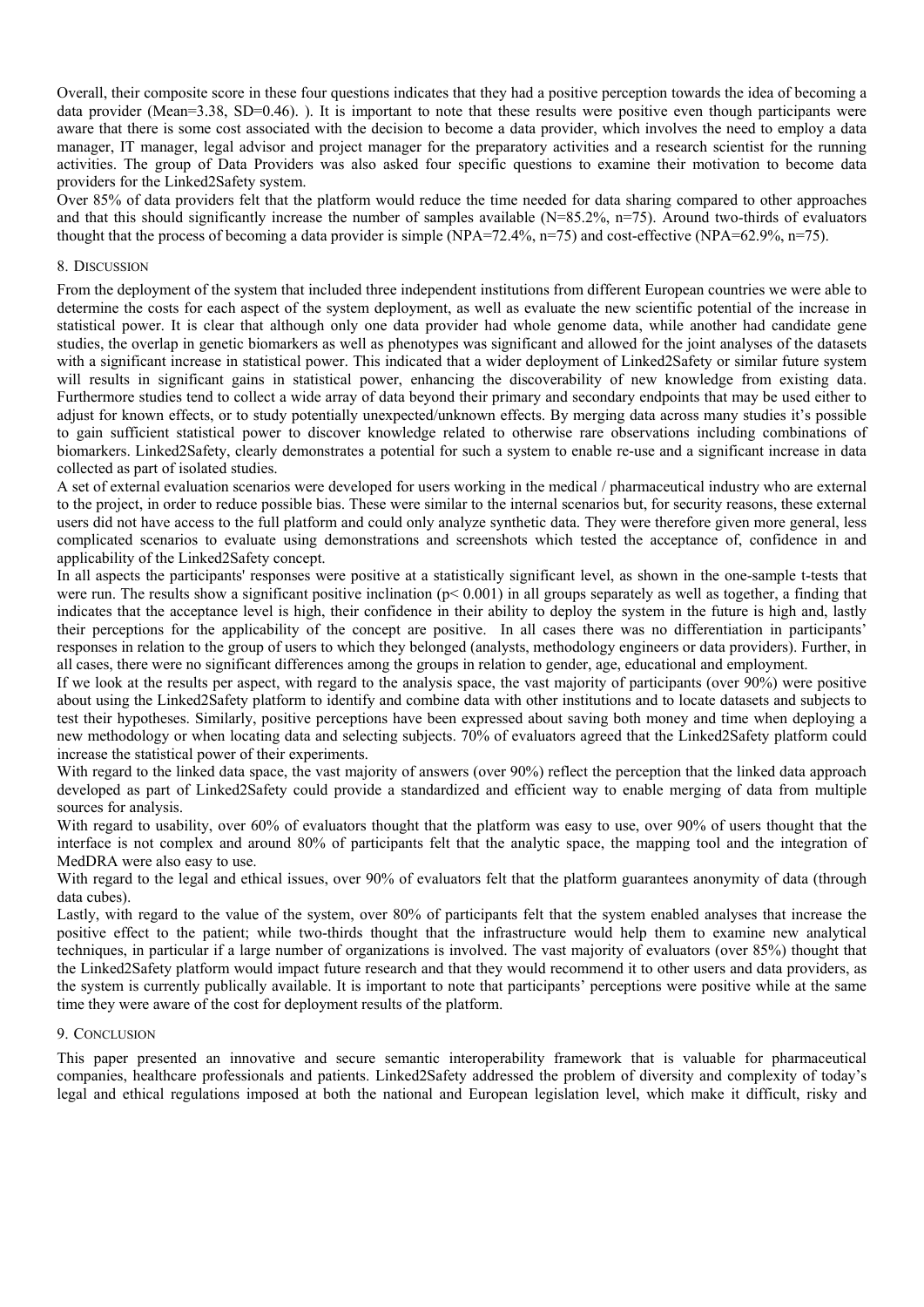Overall, their composite score in these four questions indicates that they had a positive perception towards the idea of becoming a data provider (Mean=3.38, SD=0.46). ). It is important to note that these results were positive even though participants were aware that there is some cost associated with the decision to become a data provider, which involves the need to employ a data manager, IT manager, legal advisor and project manager for the preparatory activities and a research scientist for the running activities. The group of Data Providers was also asked four specific questions to examine their motivation to become data providers for the Linked2Safety system.

Over 85% of data providers felt that the platform would reduce the time needed for data sharing compared to other approaches and that this should significantly increase the number of samples available  $(N=85.2\% \text{ m}=75)$ . Around two-thirds of evaluators thought that the process of becoming a data provider is simple (NPA=72.4%, n=75) and cost-effective (NPA=62.9%, n=75).

#### 8. DISCUSSION

From the deployment of the system that included three independent institutions from different European countries we were able to determine the costs for each aspect of the system deployment, as well as evaluate the new scientific potential of the increase in statistical power. It is clear that although only one data provider had whole genome data, while another had candidate gene studies, the overlap in genetic biomarkers as well as phenotypes was significant and allowed for the joint analyses of the datasets with a significant increase in statistical power. This indicated that a wider deployment of Linked2Safety or similar future system will results in significant gains in statistical power, enhancing the discoverability of new knowledge from existing data. Furthermore studies tend to collect a wide array of data beyond their primary and secondary endpoints that may be used either to adjust for known effects, or to study potentially unexpected/unknown effects. By merging data across many studies it's possible to gain sufficient statistical power to discover knowledge related to otherwise rare observations including combinations of biomarkers. Linked2Safety, clearly demonstrates a potential for such a system to enable re-use and a significant increase in data collected as part of isolated studies.

A set of external evaluation scenarios were developed for users working in the medical / pharmaceutical industry who are external to the project, in order to reduce possible bias. These were similar to the internal scenarios but, for security reasons, these external users did not have access to the full platform and could only analyze synthetic data. They were therefore given more general, less complicated scenarios to evaluate using demonstrations and screenshots which tested the acceptance of, confidence in and applicability of the Linked2Safety concept.

In all aspects the participants' responses were positive at a statistically significant level, as shown in the one-sample t-tests that were run. The results show a significant positive inclination  $(p< 0.001)$  in all groups separately as well as together, a finding that indicates that the acceptance level is high, their confidence in their ability to deploy the system in the future is high and, lastly their perceptions for the applicability of the concept are positive. In all cases there was no differentiation in participants' responses in relation to the group of users to which they belonged (analysts, methodology engineers or data providers). Further, in all cases, there were no significant differences among the groups in relation to gender, age, educational and employment.

If we look at the results per aspect, with regard to the analysis space, the vast majority of participants (over 90%) were positive about using the Linked2Safety platform to identify and combine data with other institutions and to locate datasets and subjects to test their hypotheses. Similarly, positive perceptions have been expressed about saving both money and time when deploying a new methodology or when locating data and selecting subjects. 70% of evaluators agreed that the Linked2Safety platform could increase the statistical power of their experiments.

With regard to the linked data space, the vast majority of answers (over 90%) reflect the perception that the linked data approach developed as part of Linked2Safety could provide a standardized and efficient way to enable merging of data from multiple sources for analysis.

With regard to usability, over 60% of evaluators thought that the platform was easy to use, over 90% of users thought that the interface is not complex and around 80% of participants felt that the analytic space, the mapping tool and the integration of MedDRA were also easy to use.

With regard to the legal and ethical issues, over 90% of evaluators felt that the platform guarantees anonymity of data (through data cubes).

Lastly, with regard to the value of the system, over 80% of participants felt that the system enabled analyses that increase the positive effect to the patient; while two-thirds thought that the infrastructure would help them to examine new analytical techniques, in particular if a large number of organizations is involved. The vast majority of evaluators (over 85%) thought that the Linked2Safety platform would impact future research and that they would recommend it to other users and data providers, as the system is currently publically available. It is important to note that participants' perceptions were positive while at the same time they were aware of the cost for deployment results of the platform.

## 9. CONCLUSION

This paper presented an innovative and secure semantic interoperability framework that is valuable for pharmaceutical companies, healthcare professionals and patients. Linked2Safety addressed the problem of diversity and complexity of today's legal and ethical regulations imposed at both the national and European legislation level, which make it difficult, risky and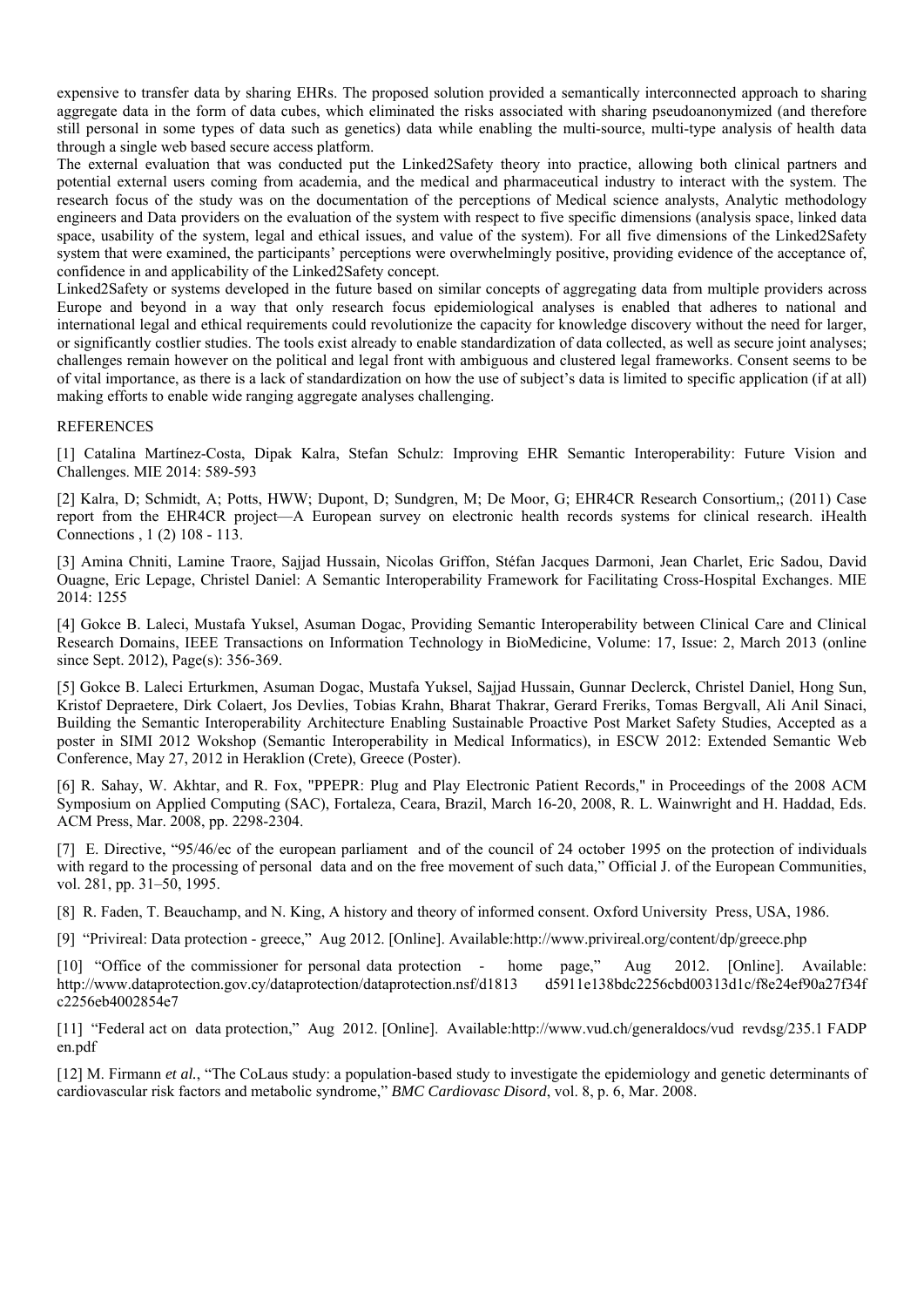expensive to transfer data by sharing EHRs. The proposed solution provided a semantically interconnected approach to sharing aggregate data in the form of data cubes, which eliminated the risks associated with sharing pseudoanonymized (and therefore still personal in some types of data such as genetics) data while enabling the multi-source, multi-type analysis of health data through a single web based secure access platform.

The external evaluation that was conducted put the Linked2Safety theory into practice, allowing both clinical partners and potential external users coming from academia, and the medical and pharmaceutical industry to interact with the system. The research focus of the study was on the documentation of the perceptions of Medical science analysts, Analytic methodology engineers and Data providers on the evaluation of the system with respect to five specific dimensions (analysis space, linked data space, usability of the system, legal and ethical issues, and value of the system). For all five dimensions of the Linked2Safety system that were examined, the participants' perceptions were overwhelmingly positive, providing evidence of the acceptance of, confidence in and applicability of the Linked2Safety concept.

Linked2Safety or systems developed in the future based on similar concepts of aggregating data from multiple providers across Europe and beyond in a way that only research focus epidemiological analyses is enabled that adheres to national and international legal and ethical requirements could revolutionize the capacity for knowledge discovery without the need for larger, or significantly costlier studies. The tools exist already to enable standardization of data collected, as well as secure joint analyses; challenges remain however on the political and legal front with ambiguous and clustered legal frameworks. Consent seems to be of vital importance, as there is a lack of standardization on how the use of subject's data is limited to specific application (if at all) making efforts to enable wide ranging aggregate analyses challenging.

#### REFERENCES

[1] Catalina Martínez-Costa, Dipak Kalra, Stefan Schulz: Improving EHR Semantic Interoperability: Future Vision and Challenges. MIE 2014: 589-593

[2] Kalra, D; Schmidt, A; Potts, HWW; Dupont, D; Sundgren, M; De Moor, G; EHR4CR Research Consortium,; (2011) Case report from the EHR4CR project—A European survey on electronic health records systems for clinical research. iHealth Connections , 1 (2) 108 - 113.

[3] Amina Chniti, Lamine Traore, Sajjad Hussain, Nicolas Griffon, Stéfan Jacques Darmoni, Jean Charlet, Eric Sadou, David Ouagne, Eric Lepage, Christel Daniel: A Semantic Interoperability Framework for Facilitating Cross-Hospital Exchanges. MIE 2014: 1255

[4] Gokce B. Laleci, Mustafa Yuksel, Asuman Dogac, Providing Semantic Interoperability between Clinical Care and Clinical Research Domains, IEEE Transactions on Information Technology in BioMedicine, Volume: 17, Issue: 2, March 2013 (online since Sept. 2012), Page(s): 356-369.

[5] Gokce B. Laleci Erturkmen, Asuman Dogac, Mustafa Yuksel, Sajjad Hussain, Gunnar Declerck, Christel Daniel, Hong Sun, Kristof Depraetere, Dirk Colaert, Jos Devlies, Tobias Krahn, Bharat Thakrar, Gerard Freriks, Tomas Bergvall, Ali Anil Sinaci, Building the Semantic Interoperability Architecture Enabling Sustainable Proactive Post Market Safety Studies, Accepted as a poster in SIMI 2012 Wokshop (Semantic Interoperability in Medical Informatics), in ESCW 2012: Extended Semantic Web Conference, May 27, 2012 in Heraklion (Crete), Greece (Poster).

[6] R. Sahay, W. Akhtar, and R. Fox, "PPEPR: Plug and Play Electronic Patient Records," in Proceedings of the 2008 ACM Symposium on Applied Computing (SAC), Fortaleza, Ceara, Brazil, March 16-20, 2008, R. L. Wainwright and H. Haddad, Eds. ACM Press, Mar. 2008, pp. 2298-2304.

[7] E. Directive, "95/46/ec of the european parliament and of the council of 24 october 1995 on the protection of individuals with regard to the processing of personal data and on the free movement of such data," Official J. of the European Communities, vol. 281, pp. 31–50, 1995.

[8] R. Faden, T. Beauchamp, and N. King, A history and theory of informed consent. Oxford University Press, USA, 1986.

[9] "Privireal: Data protection - greece," Aug 2012. [Online]. Available:http://www.privireal.org/content/dp/greece.php

[10] "Office of the commissioner for personal data protection - home page," Aug 2012. [Online]. Available: http://www.dataprotection.gov.cy/dataprotection/dataprotection.nsf/d1813 d5911e138bdc2256cbd00313d1c/f8e24ef90a27f34f c2256eb4002854e7

[11] "Federal act on data protection," Aug 2012. [Online]. Available:http://www.vud.ch/generaldocs/vud revdsg/235.1 FADP en.pdf

[12] M. Firmann *et al.*, "The CoLaus study: a population-based study to investigate the epidemiology and genetic determinants of cardiovascular risk factors and metabolic syndrome," *BMC Cardiovasc Disord*, vol. 8, p. 6, Mar. 2008.